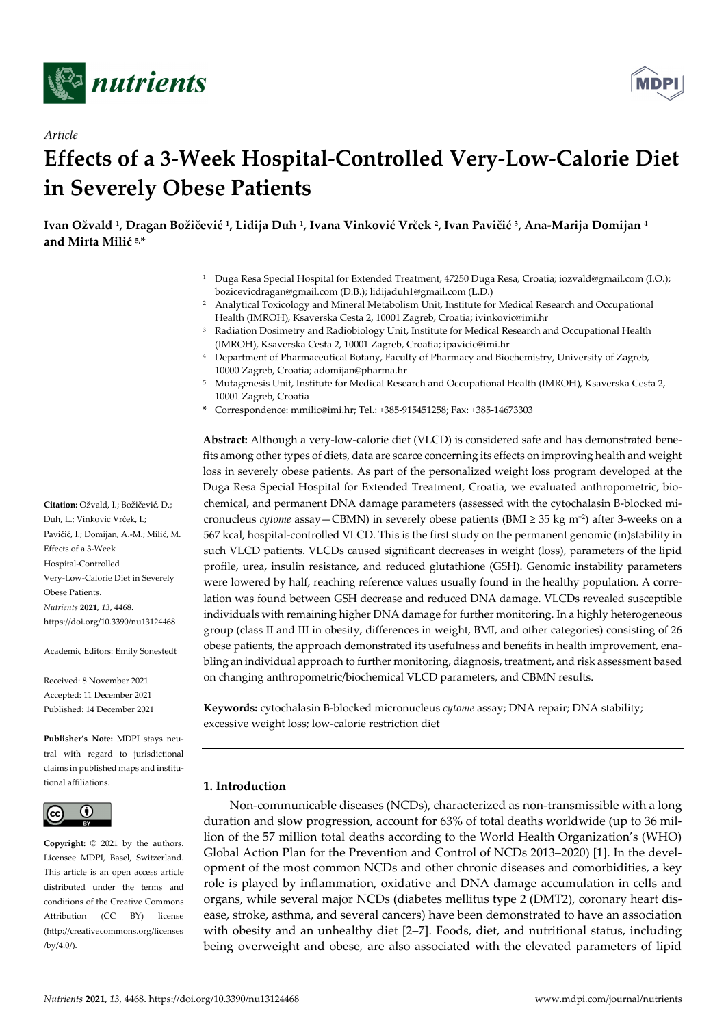

*Article*



# **Effects of a 3-Week Hospital-Controlled Very-Low-Calorie Diet in Severely Obese Patients**

**Ivan Ožvald 1, Dragan Božičević 1, Lidija Duh 1, Ivana Vinković Vrček 2, Ivan Pavičić 3, Ana-Marija Domijan 4 and Mirta Milić 5, \***

- <sup>1</sup> Duga Resa Special Hospital for Extended Treatment, 47250 Duga Resa, Croatia; iozvald@gmail.com (I.O.); bozicevicdragan@gmail.com (D.B.); lidijaduh1@gmail.com (L.D.)
- <sup>2</sup> Analytical Toxicology and Mineral Metabolism Unit, Institute for Medical Research and Occupational Health (IMROH), Ksaverska Cesta 2, 10001 Zagreb, Croatia; ivinkovic@imi.hr
- <sup>3</sup> Radiation Dosimetry and Radiobiology Unit, Institute for Medical Research and Occupational Health (IMROH), Ksaverska Cesta 2, 10001 Zagreb, Croatia; ipavicic@imi.hr
- <sup>4</sup> Department of Pharmaceutical Botany, Faculty of Pharmacy and Biochemistry, University of Zagreb, 10000 Zagreb, Croatia; adomijan@pharma.hr
- <sup>5</sup> Mutagenesis Unit, Institute for Medical Research and Occupational Health (IMROH), Ksaverska Cesta 2, 10001 Zagreb, Croatia
- **\*** Correspondence: mmilic@imi.hr; Tel.: +385-915451258; Fax: +385-14673303

**Abstract:** Although a very-low-calorie diet (VLCD) is considered safe and has demonstrated benefits among other types of diets, data are scarce concerning its effects on improving health and weight loss in severely obese patients. As part of the personalized weight loss program developed at the Duga Resa Special Hospital for Extended Treatment, Croatia, we evaluated anthropometric, biochemical, and permanent DNA damage parameters (assessed with the cytochalasin B-blocked micronucleus *cytome* assay—CBMN) in severely obese patients (BMI ≥ 35 kg m−2) after 3-weeks on a 567 kcal, hospital-controlled VLCD. This is the first study on the permanent genomic (in)stability in such VLCD patients. VLCDs caused significant decreases in weight (loss), parameters of the lipid profile, urea, insulin resistance, and reduced glutathione (GSH). Genomic instability parameters were lowered by half, reaching reference values usually found in the healthy population. A correlation was found between GSH decrease and reduced DNA damage. VLCDs revealed susceptible individuals with remaining higher DNA damage for further monitoring. In a highly heterogeneous group (class II and III in obesity, differences in weight, BMI, and other categories) consisting of 26 obese patients, the approach demonstrated its usefulness and benefits in health improvement, enabling an individual approach to further monitoring, diagnosis, treatment, and risk assessment based on changing anthropometric/biochemical VLCD parameters, and CBMN results.

**Keywords:** cytochalasin B-blocked micronucleus *cytome* assay; DNA repair; DNA stability; excessive weight loss; low-calorie restriction diet

# **1. Introduction**

Non-communicable diseases (NCDs), characterized as non-transmissible with a long duration and slow progression, account for 63% of total deaths worldwide (up to 36 million of the 57 million total deaths according to the World Health Organization's (WHO) Global Action Plan for the Prevention and Control of NCDs 2013–2020) [1]. In the development of the most common NCDs and other chronic diseases and comorbidities, a key role is played by inflammation, oxidative and DNA damage accumulation in cells and organs, while several major NCDs (diabetes mellitus type 2 (DMT2), coronary heart disease, stroke, asthma, and several cancers) have been demonstrated to have an association with obesity and an unhealthy diet [2–7]. Foods, diet, and nutritional status, including being overweight and obese, are also associated with the elevated parameters of lipid

**Citation:** Ožvald, I.; Božičević, D.; Duh, L.; Vinković Vrček, I.; Pavičić, I.; Domijan, A.-M.; Milić, M. Effects of a 3-Week Hospital-Controlled Very-Low-Calorie Diet in Severely Obese Patients. *Nutrients* **2021**, *13*, 4468. https://doi.org/10.3390/nu13124468

Academic Editors: Emily Sonestedt

Received: 8 November 2021 Accepted: 11 December 2021 Published: 14 December 2021

**Publisher's Note:** MDPI stays neutral with regard to jurisdictional claims in published maps and institutional affiliations.



**Copyright:** © 2021 by the authors. Licensee MDPI, Basel, Switzerland. This article is an open access article distributed under the terms and conditions of the Creative Commons Attribution (CC BY) license (http://creativecommons.org/licenses /by/4.0/).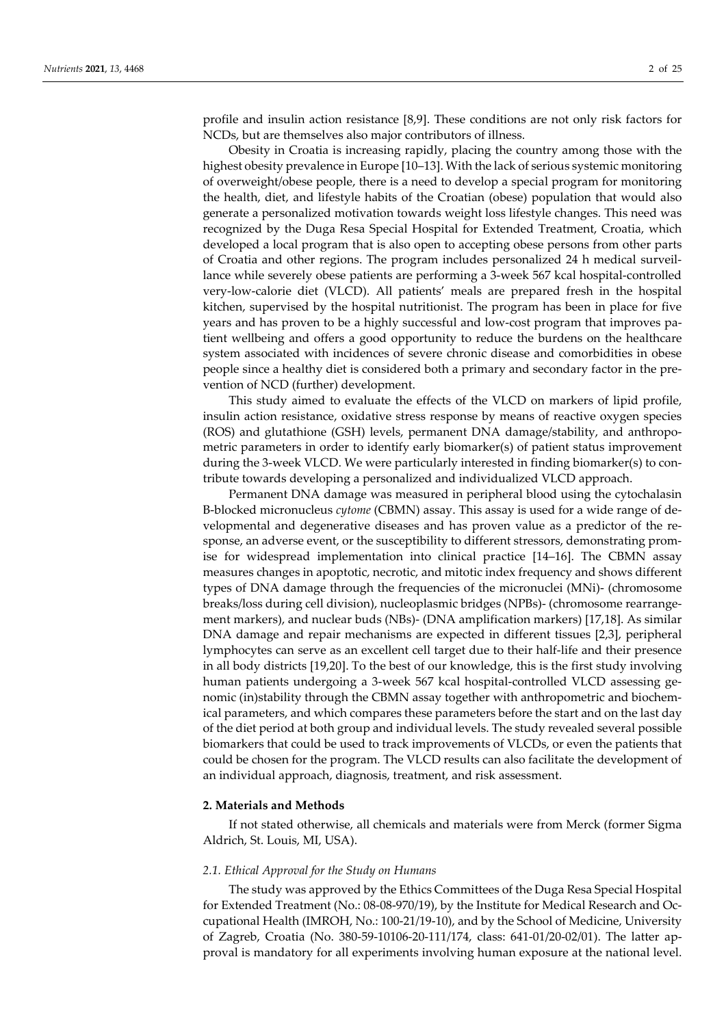profile and insulin action resistance [8,9]. These conditions are not only risk factors for NCDs, but are themselves also major contributors of illness.

Obesity in Croatia is increasing rapidly, placing the country among those with the highest obesity prevalence in Europe [10–13]. With the lack of serious systemic monitoring of overweight/obese people, there is a need to develop a special program for monitoring the health, diet, and lifestyle habits of the Croatian (obese) population that would also generate a personalized motivation towards weight loss lifestyle changes. This need was recognized by the Duga Resa Special Hospital for Extended Treatment, Croatia, which developed a local program that is also open to accepting obese persons from other parts of Croatia and other regions. The program includes personalized 24 h medical surveillance while severely obese patients are performing a 3-week 567 kcal hospital-controlled very-low-calorie diet (VLCD). All patients' meals are prepared fresh in the hospital kitchen, supervised by the hospital nutritionist. The program has been in place for five years and has proven to be a highly successful and low-cost program that improves patient wellbeing and offers a good opportunity to reduce the burdens on the healthcare system associated with incidences of severe chronic disease and comorbidities in obese people since a healthy diet is considered both a primary and secondary factor in the prevention of NCD (further) development.

This study aimed to evaluate the effects of the VLCD on markers of lipid profile, insulin action resistance, oxidative stress response by means of reactive oxygen species (ROS) and glutathione (GSH) levels, permanent DNA damage/stability, and anthropometric parameters in order to identify early biomarker(s) of patient status improvement during the 3-week VLCD. We were particularly interested in finding biomarker(s) to contribute towards developing a personalized and individualized VLCD approach.

Permanent DNA damage was measured in peripheral blood using the cytochalasin B-blocked micronucleus *cytome* (CBMN) assay. This assay is used for a wide range of developmental and degenerative diseases and has proven value as a predictor of the response, an adverse event, or the susceptibility to different stressors, demonstrating promise for widespread implementation into clinical practice [14–16]. The CBMN assay measures changes in apoptotic, necrotic, and mitotic index frequency and shows different types of DNA damage through the frequencies of the micronuclei (MNi)- (chromosome breaks/loss during cell division), nucleoplasmic bridges (NPBs)- (chromosome rearrangement markers), and nuclear buds (NBs)- (DNA amplification markers) [17,18]. As similar DNA damage and repair mechanisms are expected in different tissues [2,3], peripheral lymphocytes can serve as an excellent cell target due to their half-life and their presence in all body districts [19,20]. To the best of our knowledge, this is the first study involving human patients undergoing a 3-week 567 kcal hospital-controlled VLCD assessing genomic (in)stability through the CBMN assay together with anthropometric and biochemical parameters, and which compares these parameters before the start and on the last day of the diet period at both group and individual levels. The study revealed several possible biomarkers that could be used to track improvements of VLCDs, or even the patients that could be chosen for the program. The VLCD results can also facilitate the development of an individual approach, diagnosis, treatment, and risk assessment.

#### **2. Materials and Methods**

If not stated otherwise, all chemicals and materials were from Merck (former Sigma Aldrich, St. Louis, MI, USA).

#### *2.1. Ethical Approval for the Study on Humans*

The study was approved by the Ethics Committees of the Duga Resa Special Hospital for Extended Treatment (No.: 08-08-970/19), by the Institute for Medical Research and Occupational Health (IMROH, No.: 100-21/19-10), and by the School of Medicine, University of Zagreb, Croatia (No. 380-59-10106-20-111/174, class: 641-01/20-02/01). The latter approval is mandatory for all experiments involving human exposure at the national level.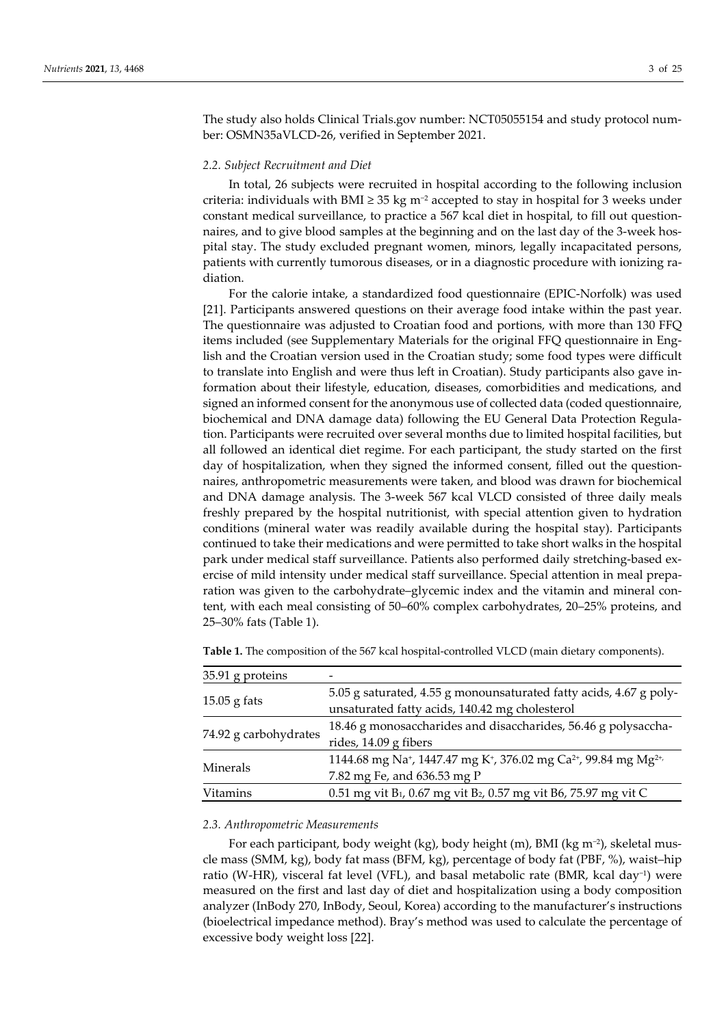The study also holds Clinical Trials.gov number: NCT05055154 and study protocol number: OSMN35aVLCD-26, verified in September 2021.

#### *2.2. Subject Recruitment and Diet*

In total, 26 subjects were recruited in hospital according to the following inclusion criteria: individuals with BMI  $\geq$  35 kg m<sup>-2</sup> accepted to stay in hospital for 3 weeks under constant medical surveillance, to practice a 567 kcal diet in hospital, to fill out questionnaires, and to give blood samples at the beginning and on the last day of the 3-week hospital stay. The study excluded pregnant women, minors, legally incapacitated persons, patients with currently tumorous diseases, or in a diagnostic procedure with ionizing radiation.

For the calorie intake, a standardized food questionnaire (EPIC-Norfolk) was used [21]. Participants answered questions on their average food intake within the past year. The questionnaire was adjusted to Croatian food and portions, with more than 130 FFQ items included (see Supplementary Materials for the original FFQ questionnaire in English and the Croatian version used in the Croatian study; some food types were difficult to translate into English and were thus left in Croatian). Study participants also gave information about their lifestyle, education, diseases, comorbidities and medications, and signed an informed consent for the anonymous use of collected data (coded questionnaire, biochemical and DNA damage data) following the EU General Data Protection Regulation. Participants were recruited over several months due to limited hospital facilities, but all followed an identical diet regime. For each participant, the study started on the first day of hospitalization, when they signed the informed consent, filled out the questionnaires, anthropometric measurements were taken, and blood was drawn for biochemical and DNA damage analysis. The 3-week 567 kcal VLCD consisted of three daily meals freshly prepared by the hospital nutritionist, with special attention given to hydration conditions (mineral water was readily available during the hospital stay). Participants continued to take their medications and were permitted to take short walks in the hospital park under medical staff surveillance. Patients also performed daily stretching-based exercise of mild intensity under medical staff surveillance. Special attention in meal preparation was given to the carbohydrate–glycemic index and the vitamin and mineral content, with each meal consisting of 50–60% complex carbohydrates, 20–25% proteins, and 25–30% fats (Table 1).

| 35.91 g proteins      |                                                                                                                  |
|-----------------------|------------------------------------------------------------------------------------------------------------------|
|                       | 5.05 g saturated, 4.55 g monounsaturated fatty acids, 4.67 g poly-                                               |
| $15.05$ g fats        | unsaturated fatty acids, 140.42 mg cholesterol                                                                   |
|                       | 18.46 g monosaccharides and disaccharides, 56.46 g polysaccha-                                                   |
| 74.92 g carbohydrates | rides, 14.09 g fibers                                                                                            |
|                       | 1144.68 mg Na <sup>+</sup> , 1447.47 mg K <sup>+</sup> , 376.02 mg Ca <sup>2+</sup> , 99.84 mg Mg <sup>2+,</sup> |
| Minerals              | 7.82 mg Fe, and 636.53 mg P                                                                                      |
| <b>Vitamins</b>       | 0.51 mg vit B <sub>1</sub> , 0.67 mg vit B <sub>2</sub> , 0.57 mg vit B6, 75.97 mg vit C                         |
|                       |                                                                                                                  |

**Table 1.** The composition of the 567 kcal hospital-controlled VLCD (main dietary components).

#### *2.3. Anthropometric Measurements*

For each participant, body weight (kg), body height (m), BMI (kg m−2), skeletal muscle mass (SMM, kg), body fat mass (BFM, kg), percentage of body fat (PBF, %), waist–hip ratio (W-HR), visceral fat level (VFL), and basal metabolic rate (BMR, kcal day−1) were measured on the first and last day of diet and hospitalization using a body composition analyzer (InBody 270, InBody, Seoul, Korea) according to the manufacturer's instructions (bioelectrical impedance method). Bray's method was used to calculate the percentage of excessive body weight loss [22].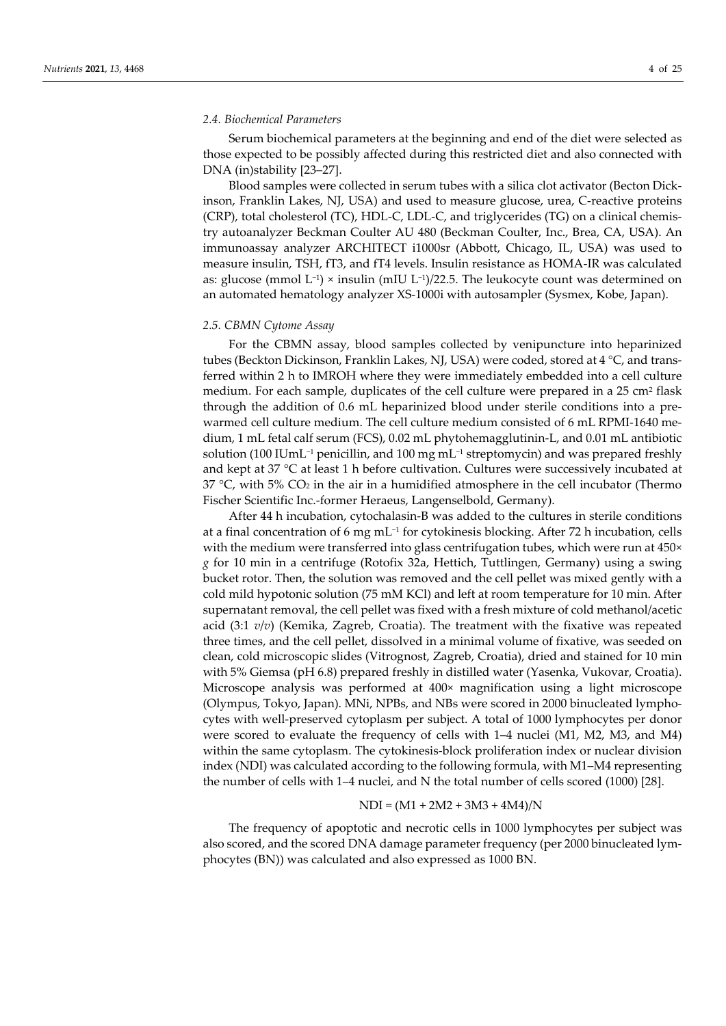#### *2.4. Biochemical Parameters*

Serum biochemical parameters at the beginning and end of the diet were selected as those expected to be possibly affected during this restricted diet and also connected with DNA (in)stability [23–27].

Blood samples were collected in serum tubes with a silica clot activator (Becton Dickinson, Franklin Lakes, NJ, USA) and used to measure glucose, urea, C-reactive proteins (CRP), total cholesterol (TC), HDL-C, LDL-C, and triglycerides (TG) on a clinical chemistry autoanalyzer Beckman Coulter AU 480 (Beckman Coulter, Inc., Brea, CA, USA). An immunoassay analyzer ARCHITECT i1000sr (Abbott, Chicago, IL, USA) was used to measure insulin, TSH, fT3, and fT4 levels. Insulin resistance as HOMA-IR was calculated as: glucose (mmol L−1) × insulin (mIU L−1)/22.5. The leukocyte count was determined on an automated hematology analyzer XS-1000i with autosampler (Sysmex, Kobe, Japan).

#### *2.5. CBMN Cytome Assay*

For the CBMN assay, blood samples collected by venipuncture into heparinized tubes (Beckton Dickinson, Franklin Lakes, NJ, USA) were coded, stored at 4 °C, and transferred within 2 h to IMROH where they were immediately embedded into a cell culture medium. For each sample, duplicates of the cell culture were prepared in a 25 cm<sup>2</sup> flask through the addition of 0.6 mL heparinized blood under sterile conditions into a prewarmed cell culture medium. The cell culture medium consisted of 6 mL RPMI-1640 medium, 1 mL fetal calf serum (FCS), 0.02 mL phytohemagglutinin-L, and 0.01 mL antibiotic solution (100 IUmL−1 penicillin, and 100 mg mL−1 streptomycin) and was prepared freshly and kept at 37 °C at least 1 h before cultivation. Cultures were successively incubated at 37 °C, with 5%  $CO<sub>2</sub>$  in the air in a humidified atmosphere in the cell incubator (Thermo Fischer Scientific Inc.-former Heraeus, Langenselbold, Germany).

After 44 h incubation, cytochalasin-B was added to the cultures in sterile conditions at a final concentration of 6 mg mL−1 for cytokinesis blocking. After 72 h incubation, cells with the medium were transferred into glass centrifugation tubes, which were run at 450× *g* for 10 min in a centrifuge (Rotofix 32a, Hettich, Tuttlingen, Germany) using a swing bucket rotor. Then, the solution was removed and the cell pellet was mixed gently with a cold mild hypotonic solution (75 mM KCl) and left at room temperature for 10 min. After supernatant removal, the cell pellet was fixed with a fresh mixture of cold methanol/acetic acid (3:1 *v*/*v*) (Kemika, Zagreb, Croatia). The treatment with the fixative was repeated three times, and the cell pellet, dissolved in a minimal volume of fixative, was seeded on clean, cold microscopic slides (Vitrognost, Zagreb, Croatia), dried and stained for 10 min with 5% Giemsa (pH 6.8) prepared freshly in distilled water (Yasenka, Vukovar, Croatia). Microscope analysis was performed at 400× magnification using a light microscope (Olympus, Tokyo, Japan). MNi, NPBs, and NBs were scored in 2000 binucleated lymphocytes with well-preserved cytoplasm per subject. A total of 1000 lymphocytes per donor were scored to evaluate the frequency of cells with 1–4 nuclei (M1, M2, M3, and M4) within the same cytoplasm. The cytokinesis-block proliferation index or nuclear division index (NDI) was calculated according to the following formula, with M1–M4 representing the number of cells with 1–4 nuclei, and N the total number of cells scored (1000) [28].

#### $NDI = (M1 + 2M2 + 3M3 + 4M4)/N$

The frequency of apoptotic and necrotic cells in 1000 lymphocytes per subject was also scored, and the scored DNA damage parameter frequency (per 2000 binucleated lymphocytes (BN)) was calculated and also expressed as 1000 BN.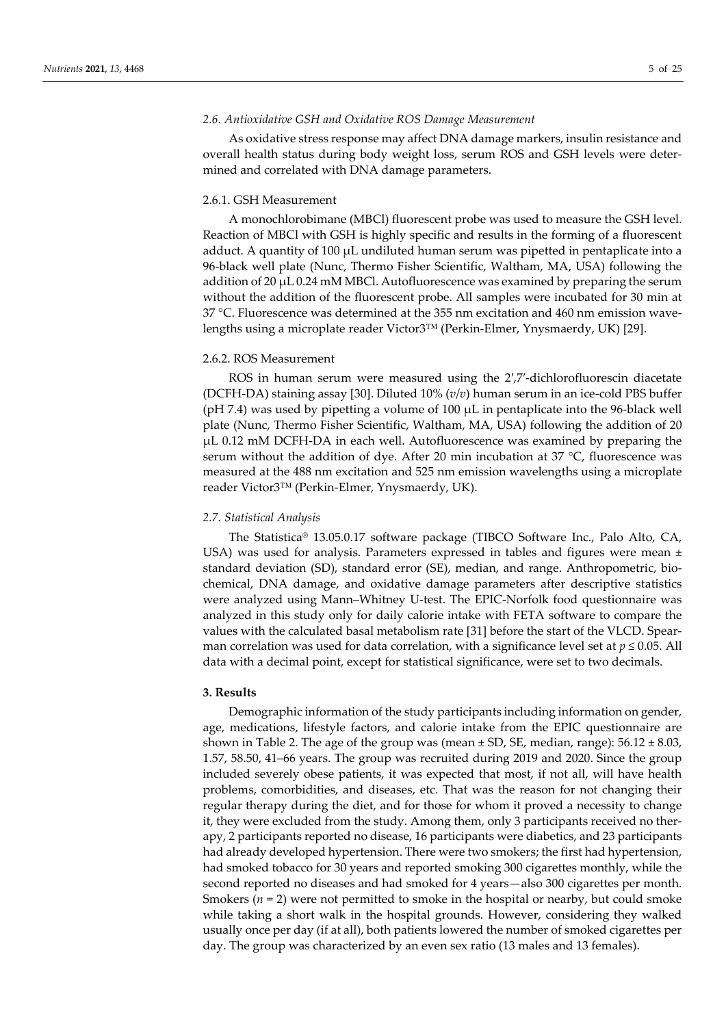#### *2.6. Antioxidative GSH and Oxidative ROS Damage Measurement*

As oxidative stress response may affect DNA damage markers, insulin resistance and overall health status during body weight loss, serum ROS and GSH levels were determined and correlated with DNA damage parameters.

## 2.6.1. GSH Measurement

A monochlorobimane (MBCl) fluorescent probe was used to measure the GSH level. Reaction of MBCl with GSH is highly specific and results in the forming of a fluorescent adduct. A quantity of 100 µL undiluted human serum was pipetted in pentaplicate into a 96-black well plate (Nunc, Thermo Fisher Scientific, Waltham, MA, USA) following the addition of 20  $\mu$ L 0.24 mM MBCl. Autofluorescence was examined by preparing the serum without the addition of the fluorescent probe. All samples were incubated for 30 min at 37 °C. Fluorescence was determined at the 355 nm excitation and 460 nm emission wavelengths using a microplate reader Victor3™ (Perkin-Elmer, Ynysmaerdy, UK) [29].

# 2.6.2. ROS Measurement

ROS in human serum were measured using the 2′,7′-dichlorofluorescin diacetate (DCFH-DA) staining assay [30]. Diluted 10% (*v*/*v*) human serum in an ice-cold PBS buffer ( $pH$  7.4) was used by pipetting a volume of 100  $\mu$ L in pentaplicate into the 96-black well plate (Nunc, Thermo Fisher Scientific, Waltham, MA, USA) following the addition of 20 µL 0.12 mM DCFH-DA in each well. Autofluorescence was examined by preparing the serum without the addition of dye. After 20 min incubation at 37 °C, fluorescence was measured at the 488 nm excitation and 525 nm emission wavelengths using a microplate reader Victor3™ (Perkin-Elmer, Ynysmaerdy, UK).

#### *2.7. Statistical Analysis*

The Statistica® 13.05.0.17 software package (TIBCO Software Inc., Palo Alto, CA, USA) was used for analysis. Parameters expressed in tables and figures were mean  $\pm$ standard deviation (SD), standard error (SE), median, and range. Anthropometric, biochemical, DNA damage, and oxidative damage parameters after descriptive statistics were analyzed using Mann–Whitney U-test. The EPIC-Norfolk food questionnaire was analyzed in this study only for daily calorie intake with FETA software to compare the values with the calculated basal metabolism rate [31] before the start of the VLCD. Spearman correlation was used for data correlation, with a significance level set at  $p \le 0.05$ . All data with a decimal point, except for statistical significance, were set to two decimals.

## **3. Results**

Demographic information of the study participants including information on gender, age, medications, lifestyle factors, and calorie intake from the EPIC questionnaire are shown in Table 2. The age of the group was (mean  $\pm$  SD, SE, median, range): 56.12  $\pm$  8.03, 1.57, 58.50, 41–66 years. The group was recruited during 2019 and 2020. Since the group included severely obese patients, it was expected that most, if not all, will have health problems, comorbidities, and diseases, etc. That was the reason for not changing their regular therapy during the diet, and for those for whom it proved a necessity to change it, they were excluded from the study. Among them, only 3 participants received no therapy, 2 participants reported no disease, 16 participants were diabetics, and 23 participants had already developed hypertension. There were two smokers; the first had hypertension, had smoked tobacco for 30 years and reported smoking 300 cigarettes monthly, while the second reported no diseases and had smoked for 4 years—also 300 cigarettes per month. Smokers ( $n = 2$ ) were not permitted to smoke in the hospital or nearby, but could smoke while taking a short walk in the hospital grounds. However, considering they walked usually once per day (if at all), both patients lowered the number of smoked cigarettes per day. The group was characterized by an even sex ratio (13 males and 13 females).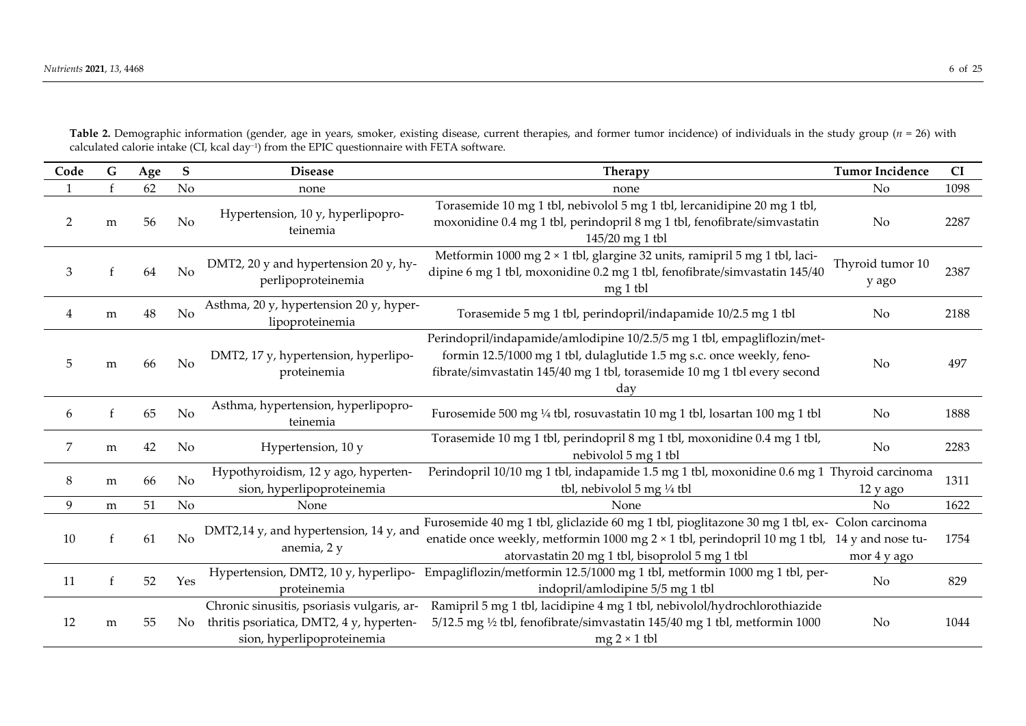| Code           | G | Age | S              | <b>Disease</b>                                                                                                       | <b>Therapy</b>                                                                                                                                                                                                                                   | <b>Tumor Incidence</b>    | CI   |
|----------------|---|-----|----------------|----------------------------------------------------------------------------------------------------------------------|--------------------------------------------------------------------------------------------------------------------------------------------------------------------------------------------------------------------------------------------------|---------------------------|------|
|                |   | 62  | No             | none                                                                                                                 | none                                                                                                                                                                                                                                             | No                        | 1098 |
| 2              | m | 56  | N <sub>o</sub> | Hypertension, 10 y, hyperlipopro-<br>teinemia                                                                        | Torasemide 10 mg 1 tbl, nebivolol 5 mg 1 tbl, lercanidipine 20 mg 1 tbl,<br>moxonidine 0.4 mg 1 tbl, perindopril 8 mg 1 tbl, fenofibrate/simvastatin<br>145/20 mg 1 tbl                                                                          | No                        | 2287 |
| 3              |   | 64  | No             | DMT2, 20 y and hypertension 20 y, hy-<br>perlipoproteinemia                                                          | Metformin 1000 mg 2 × 1 tbl, glargine 32 units, ramipril 5 mg 1 tbl, laci-<br>dipine 6 mg 1 tbl, moxonidine 0.2 mg 1 tbl, fenofibrate/simvastatin 145/40<br>$mg 1$ tbl                                                                           | Thyroid tumor 10<br>y ago | 2387 |
| 4              | m | 48  | No             | Asthma, 20 y, hypertension 20 y, hyper-<br>lipoproteinemia                                                           | Torasemide 5 mg 1 tbl, perindopril/indapamide 10/2.5 mg 1 tbl                                                                                                                                                                                    | No                        | 2188 |
| 5              | m | 66  | No             | DMT2, 17 y, hypertension, hyperlipo-<br>proteinemia                                                                  | Perindopril/indapamide/amlodipine 10/2.5/5 mg 1 tbl, empagliflozin/met-<br>formin 12.5/1000 mg 1 tbl, dulaglutide 1.5 mg s.c. once weekly, feno-<br>fibrate/simvastatin 145/40 mg 1 tbl, torasemide 10 mg 1 tbl every second<br>day              | No                        | 497  |
| 6              |   | 65  | N <sub>o</sub> | Asthma, hypertension, hyperlipopro-<br>teinemia                                                                      | Furosemide 500 mg 1/4 tbl, rosuvastatin 10 mg 1 tbl, losartan 100 mg 1 tbl                                                                                                                                                                       | No                        | 1888 |
| $\overline{7}$ | m | 42  | No             | Hypertension, 10 y                                                                                                   | Torasemide 10 mg 1 tbl, perindopril 8 mg 1 tbl, moxonidine 0.4 mg 1 tbl,<br>nebivolol 5 mg 1 tbl                                                                                                                                                 | No                        | 2283 |
| $\,8\,$        | m | 66  | No             | Hypothyroidism, 12 y ago, hyperten-<br>sion, hyperlipoproteinemia                                                    | Perindopril 10/10 mg 1 tbl, indapamide 1.5 mg 1 tbl, moxonidine 0.6 mg 1 Thyroid carcinoma<br>tbl, nebivolol 5 mg 1/4 tbl                                                                                                                        | 12 y ago                  | 1311 |
| 9              | m | 51  | No             | None                                                                                                                 | <b>None</b>                                                                                                                                                                                                                                      | No                        | 1622 |
| 10             | f | 61  | No             | DMT2,14 y, and hypertension, 14 y, and<br>anemia, 2 y                                                                | Furosemide 40 mg 1 tbl, gliclazide 60 mg 1 tbl, pioglitazone 30 mg 1 tbl, ex- Colon carcinoma<br>enatide once weekly, metformin 1000 mg 2 × 1 tbl, perindopril 10 mg 1 tbl, 14 y and nose tu-<br>atorvastatin 20 mg 1 tbl, bisoprolol 5 mg 1 tbl | mor 4 y ago               | 1754 |
| 11             |   | 52  | Yes            | Hypertension, DMT2, 10 y, hyperlipo-<br>proteinemia                                                                  | Empagliflozin/metformin 12.5/1000 mg 1 tbl, metformin 1000 mg 1 tbl, per-<br>indopril/amlodipine 5/5 mg 1 tbl                                                                                                                                    | $\rm No$                  | 829  |
| 12             | m | 55  | No.            | Chronic sinusitis, psoriasis vulgaris, ar-<br>thritis psoriatica, DMT2, 4 y, hyperten-<br>sion, hyperlipoproteinemia | Ramipril 5 mg 1 tbl, lacidipine 4 mg 1 tbl, nebivolol/hydrochlorothiazide<br>5/12.5 mg 1/2 tbl, fenofibrate/simvastatin 145/40 mg 1 tbl, metformin 1000<br>$mg 2 \times 1$ tbl                                                                   | No                        | 1044 |

**Table 2.** Demographic information (gender, age in years, smoker, existing disease, current therapies, and former tumor incidence) of individuals in the study group (*n* = 26) with calculated calorie intake (CI, kcal day−1) from the EPIC questionnaire with FETA software.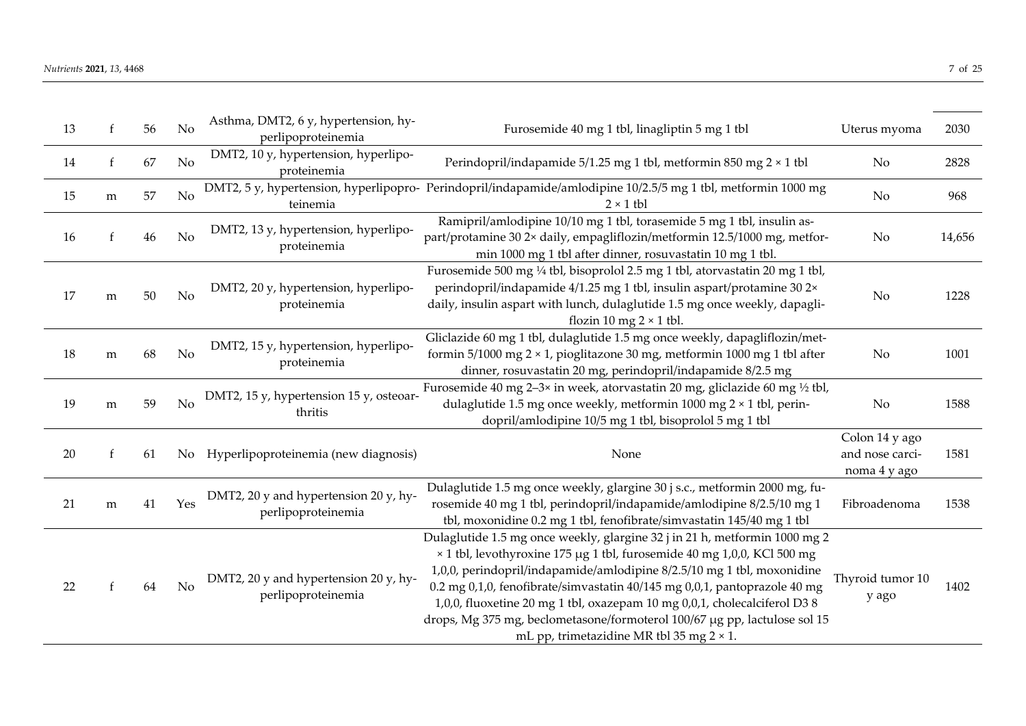| 13 | f         | 56 | No  | Asthma, DMT2, 6 y, hypertension, hy-<br>perlipoproteinemia  | Furosemide 40 mg 1 tbl, linagliptin 5 mg 1 tbl                                                                                                                                                                                                                                                                                                                                                                                                                                                                             | Uterus myoma                                      | 2030   |
|----|-----------|----|-----|-------------------------------------------------------------|----------------------------------------------------------------------------------------------------------------------------------------------------------------------------------------------------------------------------------------------------------------------------------------------------------------------------------------------------------------------------------------------------------------------------------------------------------------------------------------------------------------------------|---------------------------------------------------|--------|
| 14 | f         | 67 | No  | DMT2, 10 y, hypertension, hyperlipo-<br>proteinemia         | Perindopril/indapamide 5/1.25 mg 1 tbl, metformin 850 mg 2 × 1 tbl                                                                                                                                                                                                                                                                                                                                                                                                                                                         | No                                                | 2828   |
| 15 | ${\bf m}$ | 57 | No  | teinemia                                                    | DMT2, 5 y, hypertension, hyperlipopro- Perindopril/indapamide/amlodipine 10/2.5/5 mg 1 tbl, metformin 1000 mg<br>$2 \times 1$ tbl                                                                                                                                                                                                                                                                                                                                                                                          | No                                                | 968    |
| 16 |           | 46 | No  | DMT2, 13 y, hypertension, hyperlipo-<br>proteinemia         | Ramipril/amlodipine 10/10 mg 1 tbl, torasemide 5 mg 1 tbl, insulin as-<br>part/protamine 30 2x daily, empagliflozin/metformin 12.5/1000 mg, metfor-<br>min 1000 mg 1 tbl after dinner, rosuvastatin 10 mg 1 tbl.                                                                                                                                                                                                                                                                                                           | No                                                | 14,656 |
| 17 | m         | 50 | No  | DMT2, 20 y, hypertension, hyperlipo-<br>proteinemia         | Furosemide 500 mg 1/4 tbl, bisoprolol 2.5 mg 1 tbl, atorvastatin 20 mg 1 tbl,<br>perindopril/indapamide 4/1.25 mg 1 tbl, insulin aspart/protamine 30 2×<br>daily, insulin aspart with lunch, dulaglutide 1.5 mg once weekly, dapagli-<br>flozin 10 mg $2 \times 1$ tbl.                                                                                                                                                                                                                                                    | No                                                | 1228   |
| 18 | ${\bf m}$ | 68 | No  | DMT2, 15 y, hypertension, hyperlipo-<br>proteinemia         | Gliclazide 60 mg 1 tbl, dulaglutide 1.5 mg once weekly, dapagliflozin/met-<br>formin $5/1000$ mg $2 \times 1$ , pioglitazone 30 mg, metformin 1000 mg 1 tbl after<br>dinner, rosuvastatin 20 mg, perindopril/indapamide 8/2.5 mg                                                                                                                                                                                                                                                                                           | No                                                | 1001   |
| 19 | ${\bf m}$ | 59 | No  | DMT2, 15 y, hypertension 15 y, osteoar-<br>thritis          | Furosemide 40 mg 2-3x in week, atorvastatin 20 mg, gliclazide 60 mg 1/2 tbl,<br>dulaglutide 1.5 mg once weekly, metformin 1000 mg 2 × 1 tbl, perin-<br>dopril/amlodipine 10/5 mg 1 tbl, bisoprolol 5 mg 1 tbl                                                                                                                                                                                                                                                                                                              | No                                                | 1588   |
| 20 | f         | 61 | No  | Hyperlipoproteinemia (new diagnosis)                        | None                                                                                                                                                                                                                                                                                                                                                                                                                                                                                                                       | Colon 14 y ago<br>and nose carci-<br>noma 4 y ago | 1581   |
| 21 | m         | 41 | Yes | DMT2, 20 y and hypertension 20 y, hy-<br>perlipoproteinemia | Dulaglutide 1.5 mg once weekly, glargine 30 j s.c., metformin 2000 mg, fu-<br>rosemide 40 mg 1 tbl, perindopril/indapamide/amlodipine 8/2.5/10 mg 1<br>tbl, moxonidine 0.2 mg 1 tbl, fenofibrate/simvastatin 145/40 mg 1 tbl                                                                                                                                                                                                                                                                                               | Fibroadenoma                                      | 1538   |
| 22 |           | 64 | No  | DMT2, 20 y and hypertension 20 y, hy-<br>perlipoproteinemia | Dulaglutide 1.5 mg once weekly, glargine 32 j in 21 h, metformin 1000 mg 2<br>× 1 tbl, levothyroxine 175 µg 1 tbl, furosemide 40 mg 1,0,0, KCl 500 mg<br>1,0,0, perindopril/indapamide/amlodipine 8/2.5/10 mg 1 tbl, moxonidine<br>0.2 mg 0,1,0, fenofibrate/simvastatin 40/145 mg 0,0,1, pantoprazole 40 mg<br>1,0,0, fluoxetine 20 mg 1 tbl, oxazepam 10 mg 0,0,1, cholecalciferol D3 8<br>drops, Mg 375 mg, beclometasone/formoterol 100/67 µg pp, lactulose sol 15<br>mL pp, trimetazidine MR tbl 35 mg $2 \times 1$ . | Thyroid tumor 10<br>y ago                         | 1402   |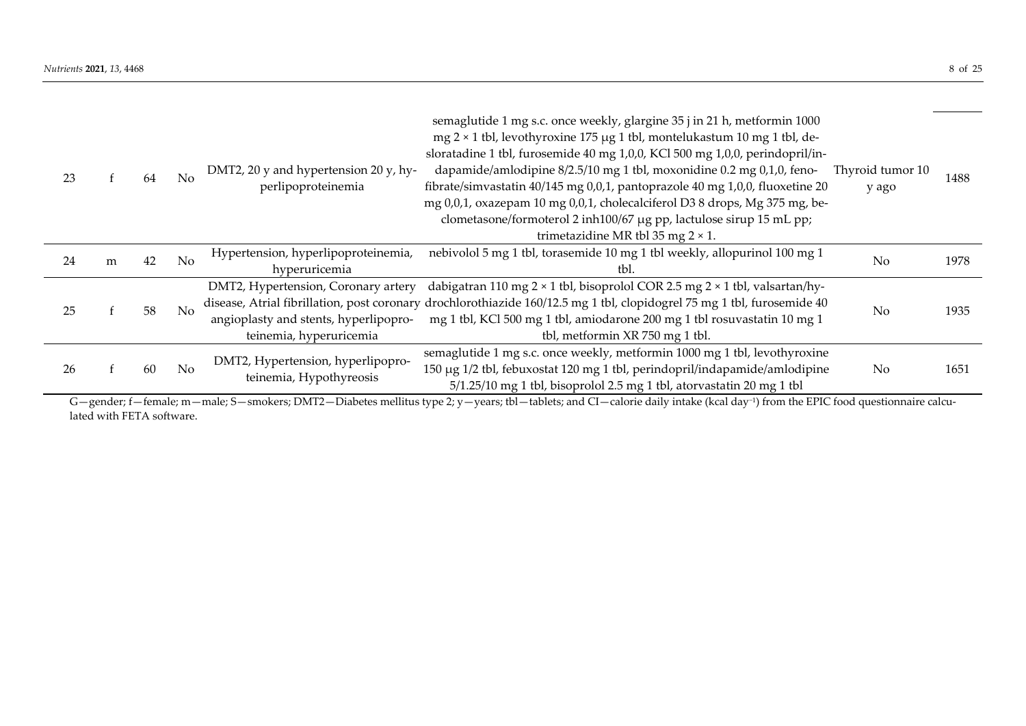| 23 |   | 64 | No             | DMT2, 20 y and hypertension 20 y, hy-<br>perlipoproteinemia                                                                                            | semaglutide 1 mg s.c. once weekly, glargine 35 j in 21 h, metformin 1000<br>$mg 2 \times 1$ tbl, levothyroxine 175 µg 1 tbl, montelukastum 10 mg 1 tbl, de-<br>sloratadine 1 tbl, furosemide 40 mg 1,0,0, KCl 500 mg 1,0,0, perindopril/in-<br>dapamide/amlodipine 8/2.5/10 mg 1 tbl, moxonidine 0.2 mg 0,1,0, feno-<br>fibrate/simvastatin 40/145 mg 0,0,1, pantoprazole 40 mg 1,0,0, fluoxetine 20<br>mg 0,0,1, oxazepam 10 mg 0,0,1, cholecalciferol D3 8 drops, Mg 375 mg, be-<br>clometasone/formoterol 2 inh100/67 µg pp, lactulose sirup 15 mL pp;<br>trimetazidine MR tbl 35 mg $2 \times 1$ . | Thyroid tumor 10<br>y ago | 1488 |
|----|---|----|----------------|--------------------------------------------------------------------------------------------------------------------------------------------------------|--------------------------------------------------------------------------------------------------------------------------------------------------------------------------------------------------------------------------------------------------------------------------------------------------------------------------------------------------------------------------------------------------------------------------------------------------------------------------------------------------------------------------------------------------------------------------------------------------------|---------------------------|------|
| 24 | m | 42 | N <sub>o</sub> | Hypertension, hyperlipoproteinemia,<br>hyperuricemia                                                                                                   | nebivolol 5 mg 1 tbl, torasemide 10 mg 1 tbl weekly, allopurinol 100 mg 1<br>tbl.                                                                                                                                                                                                                                                                                                                                                                                                                                                                                                                      | N <sub>o</sub>            | 1978 |
| 25 |   | 58 | No             | DMT2, Hypertension, Coronary artery<br>disease, Atrial fibrillation, post coronary<br>angioplasty and stents, hyperlipopro-<br>teinemia, hyperuricemia | dabigatran 110 mg 2 × 1 tbl, bisoprolol COR 2.5 mg 2 × 1 tbl, valsartan/hy-<br>drochlorothiazide 160/12.5 mg 1 tbl, clopidogrel 75 mg 1 tbl, furosemide 40<br>mg 1 tbl, KCl 500 mg 1 tbl, amiodarone 200 mg 1 tbl rosuvastatin 10 mg 1<br>tbl, metformin XR 750 mg 1 tbl.                                                                                                                                                                                                                                                                                                                              | No                        | 1935 |
| 26 |   | 60 | No             | DMT2, Hypertension, hyperlipopro-<br>teinemia, Hypothyreosis                                                                                           | semaglutide 1 mg s.c. once weekly, metformin 1000 mg 1 tbl, levothyroxine<br>150 μg 1/2 tbl, febuxostat 120 mg 1 tbl, perindopril/indapamide/amlodipine<br>5/1.25/10 mg 1 tbl, bisoprolol 2.5 mg 1 tbl, atorvastatin 20 mg 1 tbl                                                                                                                                                                                                                                                                                                                                                                       | N <sub>o</sub>            | 1651 |

G—gender; f—female; m—male; S—smokers; DMT2—Diabetes mellitus type 2; y—years; tbl—tablets; and CI—calorie daily intake (kcal day−1) from the EPIC food questionnaire calculated with FETA software.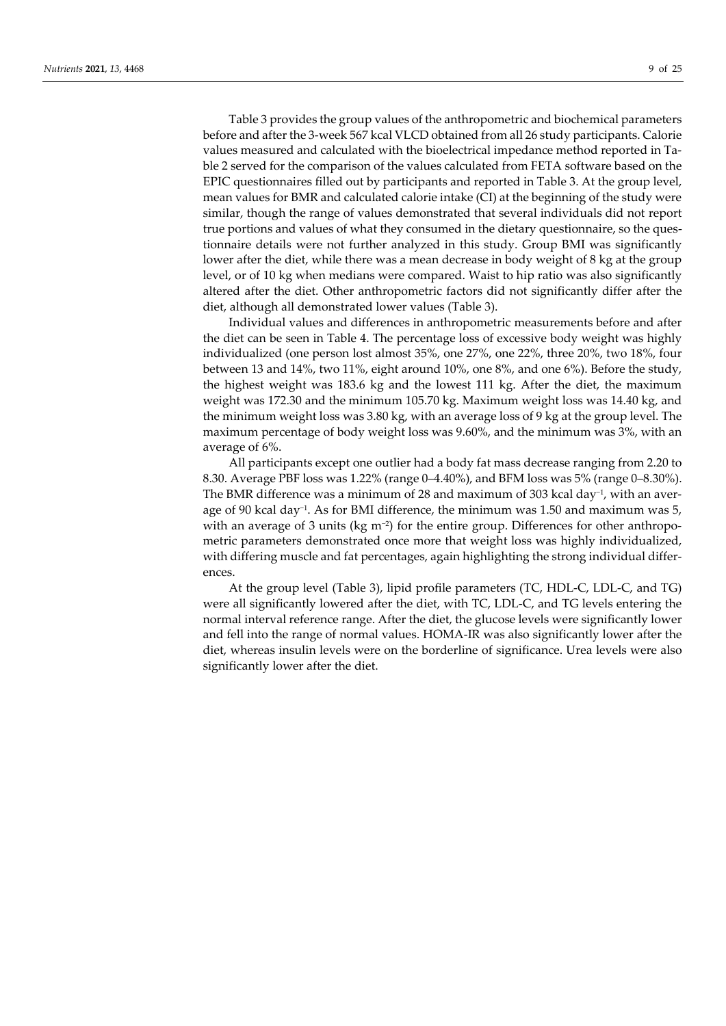Table 3 provides the group values of the anthropometric and biochemical parameters before and after the 3-week 567 kcal VLCD obtained from all 26 study participants. Calorie values measured and calculated with the bioelectrical impedance method reported in Table 2 served for the comparison of the values calculated from FETA software based on the EPIC questionnaires filled out by participants and reported in Table 3. At the group level, mean values for BMR and calculated calorie intake (CI) at the beginning of the study were similar, though the range of values demonstrated that several individuals did not report true portions and values of what they consumed in the dietary questionnaire, so the questionnaire details were not further analyzed in this study. Group BMI was significantly lower after the diet, while there was a mean decrease in body weight of 8 kg at the group level, or of 10 kg when medians were compared. Waist to hip ratio was also significantly altered after the diet. Other anthropometric factors did not significantly differ after the diet, although all demonstrated lower values (Table 3).

Individual values and differences in anthropometric measurements before and after the diet can be seen in Table 4. The percentage loss of excessive body weight was highly individualized (one person lost almost 35%, one 27%, one 22%, three 20%, two 18%, four between 13 and 14%, two 11%, eight around 10%, one 8%, and one 6%). Before the study, the highest weight was 183.6 kg and the lowest 111 kg. After the diet, the maximum weight was 172.30 and the minimum 105.70 kg. Maximum weight loss was 14.40 kg, and the minimum weight loss was 3.80 kg, with an average loss of 9 kg at the group level. The maximum percentage of body weight loss was 9.60%, and the minimum was 3%, with an average of 6%.

All participants except one outlier had a body fat mass decrease ranging from 2.20 to 8.30. Average PBF loss was 1.22% (range 0–4.40%), and BFM loss was 5% (range 0–8.30%). The BMR difference was a minimum of 28 and maximum of 303 kcal day<sup>-1</sup>, with an average of 90 kcal day−1. As for BMI difference, the minimum was 1.50 and maximum was 5, with an average of 3 units (kg m<sup>-2</sup>) for the entire group. Differences for other anthropometric parameters demonstrated once more that weight loss was highly individualized, with differing muscle and fat percentages, again highlighting the strong individual differences.

At the group level (Table 3), lipid profile parameters (TC, HDL-C, LDL-C, and TG) were all significantly lowered after the diet, with TC, LDL-C, and TG levels entering the normal interval reference range. After the diet, the glucose levels were significantly lower and fell into the range of normal values. HOMA-IR was also significantly lower after the diet, whereas insulin levels were on the borderline of significance. Urea levels were also significantly lower after the diet.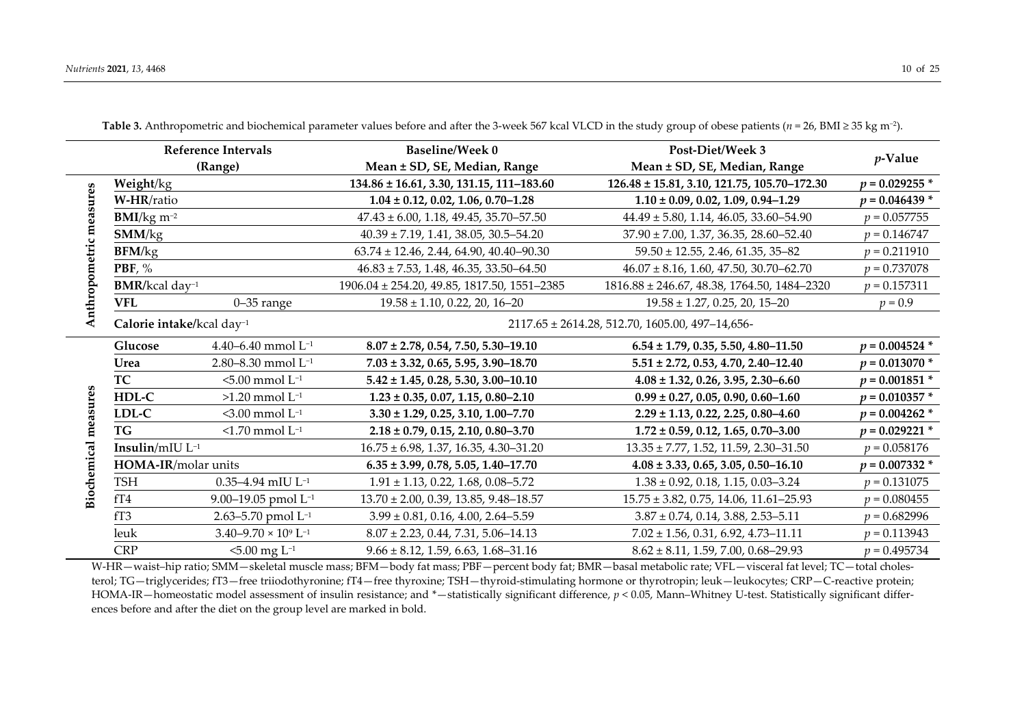| <b>Reference Intervals</b>  |                                       |                                           | <b>Baseline/Week 0</b>                           | Post-Diet/Week 3                                 |                  |
|-----------------------------|---------------------------------------|-------------------------------------------|--------------------------------------------------|--------------------------------------------------|------------------|
|                             | (Range)                               |                                           | Mean ± SD, SE, Median, Range                     | Mean ± SD, SE, Median, Range                     | $p$ -Value       |
|                             | Weight/kg                             |                                           | 134.86 ± 16.61, 3.30, 131.15, 111-183.60         | 126.48 ± 15.81, 3.10, 121.75, 105.70-172.30      | $p = 0.029255*$  |
| easures                     | W-HR/ratio                            |                                           | $1.04 \pm 0.12, 0.02, 1.06, 0.70 - 1.28$         | $1.10 \pm 0.09$ , 0.02, 1.09, 0.94-1.29          | $p = 0.046439*$  |
|                             | $BMI/kg$ m <sup>-2</sup>              |                                           | $47.43 \pm 6.00$ , 1.18, 49.45, 35.70-57.50      | $44.49 \pm 5.80, 1.14, 46.05, 33.60 - 54.90$     | $p = 0.057755$   |
|                             | SMM/kg                                |                                           | $40.39 \pm 7.19$ , 1.41, 38.05, 30.5-54.20       | $37.90 \pm 7.00$ , 1.37, 36.35, 28.60-52.40      | $p = 0.146747$   |
|                             | <b>BFM/kg</b>                         |                                           | $63.74 \pm 12.46$ , 2.44, 64.90, 40.40-90.30     | $59.50 \pm 12.55$ , 2.46, 61.35, 35-82           | $p = 0.211910$   |
|                             | PBF, $%$                              |                                           | $46.83 \pm 7.53$ , 1.48, 46.35, 33.50-64.50      | $46.07 \pm 8.16$ , 1.60, 47.50, 30.70-62.70      | $p = 0.737078$   |
|                             | $BMR/kcal day^{-1}$                   |                                           | $1906.04 \pm 254.20$ , 49.85, 1817.50, 1551-2385 | $1816.88 \pm 246.67$ , 48.38, 1764.50, 1484-2320 | $p = 0.157311$   |
| Anthropometric m            | <b>VFL</b>                            | $0-35$ range                              | $19.58 \pm 1.10$ , 0.22, 20, 16-20               | $19.58 \pm 1.27$ , 0.25, 20, 15-20               | $p = 0.9$        |
|                             | Calorie intake/kcal day <sup>-1</sup> |                                           |                                                  | 2117.65 ± 2614.28, 512.70, 1605.00, 497-14, 656- |                  |
|                             | Glucose                               | 4.40-6.40 mmol $L^{-1}$                   | $8.07 \pm 2.78, 0.54, 7.50, 5.30 - 19.10$        | $6.54 \pm 1.79, 0.35, 5.50, 4.80 - 11.50$        | $p = 0.004524$ * |
|                             | Urea                                  | 2.80-8.30 mmol L <sup>-1</sup>            | $7.03 \pm 3.32, 0.65, 5.95, 3.90 - 18.70$        | $5.51 \pm 2.72, 0.53, 4.70, 2.40 - 12.40$        | $p = 0.013070*$  |
|                             | <b>TC</b>                             | $5.00$ mmol $L^{-1}$                      | $5.42 \pm 1.45$ , 0.28, 5.30, 3.00-10.10         | $4.08 \pm 1.32, 0.26, 3.95, 2.30 - 6.60$         | $p = 0.001851$ * |
| <b>Biochemical measures</b> | HDL-C                                 | $>1.20$ mmol $L^{-1}$                     | $1.23 \pm 0.35, 0.07, 1.15, 0.80 - 2.10$         | $0.99 \pm 0.27, 0.05, 0.90, 0.60 - 1.60$         | $p = 0.010357$ * |
|                             | LDL-C                                 | $<$ 3.00 mmol L <sup>-1</sup>             | $3.30 \pm 1.29$ , 0.25, 3.10, 1.00-7.70          | $2.29 \pm 1.13$ , 0.22, 2.25, 0.80-4.60          | $p = 0.004262$ * |
|                             | <b>TG</b>                             | $<$ 1.70 mmol L <sup>-1</sup>             | $2.18 \pm 0.79, 0.15, 2.10, 0.80 - 3.70$         | $1.72 \pm 0.59$ , 0.12, 1.65, 0.70-3.00          | $p = 0.029221$ * |
|                             | Insulin/ $mIU L^{-1}$                 |                                           | $16.75 \pm 6.98$ , 1.37, 16.35, 4.30-31.20       | $13.35 \pm 7.77$ , 1.52, 11.59, 2.30-31.50       | $p = 0.058176$   |
|                             | HOMA-IR/molar units                   |                                           | $6.35 \pm 3.99, 0.78, 5.05, 1.40 - 17.70$        | $4.08 \pm 3.33, 0.65, 3.05, 0.50 - 16.10$        | $p = 0.007332*$  |
|                             | <b>TSH</b>                            | $0.35 - 4.94$ mIU L <sup>-1</sup>         | $1.91 \pm 1.13$ , 0.22, 1.68, 0.08-5.72          | $1.38 \pm 0.92, 0.18, 1.15, 0.03 - 3.24$         | $p = 0.131075$   |
|                             | fT4                                   | 9.00–19.05 pmol $L^{-1}$                  | $13.70 \pm 2.00$ , 0.39, 13.85, 9.48-18.57       | $15.75 \pm 3.82, 0.75, 14.06, 11.61 - 25.93$     | $p = 0.080455$   |
|                             | fT3                                   | 2.63-5.70 pmol $L^{-1}$                   | $3.99 \pm 0.81, 0.16, 4.00, 2.64 - 5.59$         | $3.87 \pm 0.74$ , 0.14, 3.88, 2.53-5.11          | $p = 0.682996$   |
|                             | leuk                                  | $3.40 - 9.70 \times 10^9$ L <sup>-1</sup> | $8.07 \pm 2.23$ , 0.44, 7.31, 5.06-14.13         | $7.02 \pm 1.56$ , 0.31, 6.92, 4.73-11.11         | $p = 0.113943$   |
|                             | <b>CRP</b>                            | $5.00$ mg L <sup>-1</sup>                 | $9.66 \pm 8.12, 1.59, 6.63, 1.68 - 31.16$        | $8.62 \pm 8.11, 1.59, 7.00, 0.68 - 29.93$        | $p = 0.495734$   |

**Table 3.** Anthropometric and biochemical parameter values before and after the 3-week 567 kcal VLCD in the study group of obese patients ( $n = 26$ , BMI ≥ 35 kg m<sup>-2</sup>).

W-HR-waist-hip ratio; SMM-skeletal muscle mass; BFM-body fat mass; PBF-percent body fat; BMR-basal metabolic rate; VFL-visceral fat level; TC-total cholesterol; TG—triglycerides; fT3—free triiodothyronine; fT4—free thyroxine; TSH—thyroid-stimulating hormone or thyrotropin; leuk—leukocytes; CRP—C-reactive protein; HOMA-IR—homeostatic model assessment of insulin resistance; and \*—statistically significant difference, *p* < 0.05, Mann–Whitney U-test. Statistically significant differences before and after the diet on the group level are marked in bold.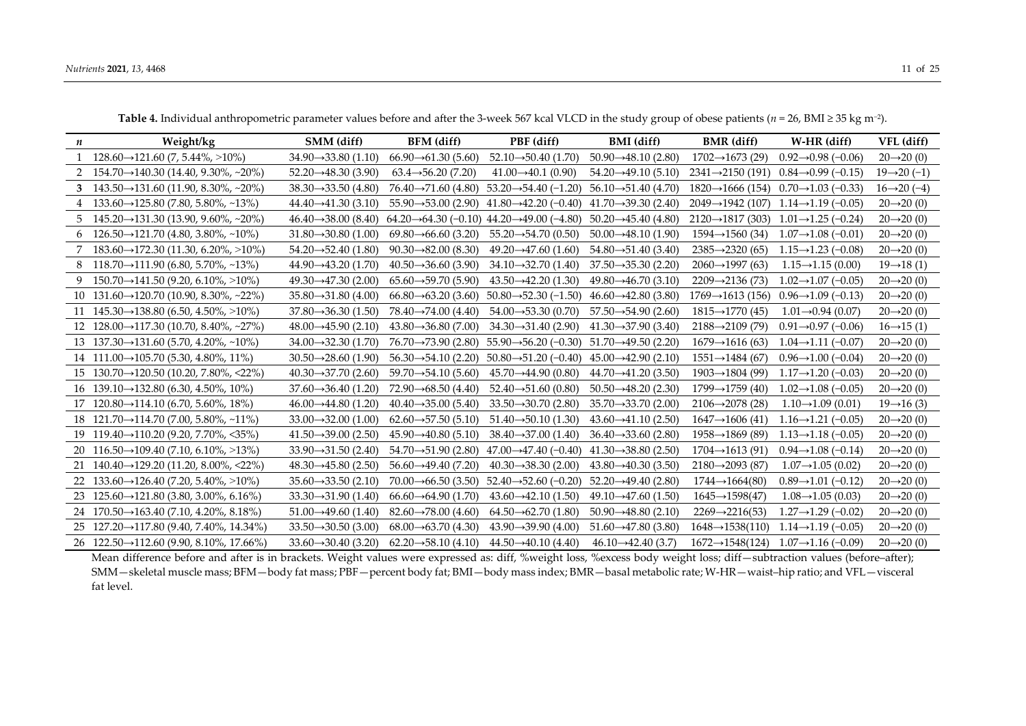| п | Weight/kg                                                              | SMM (diff)                       | BFM (diff)                                                          | PBF (diff)                                                         | <b>BMI</b> (diff)                | <b>BMR</b> (diff)             | W-HR (diff)                     | VFL (diff)               |
|---|------------------------------------------------------------------------|----------------------------------|---------------------------------------------------------------------|--------------------------------------------------------------------|----------------------------------|-------------------------------|---------------------------------|--------------------------|
|   | 1 128.60 $\rightarrow$ 121.60 (7, 5.44%, >10%)                         | $34.90 \rightarrow 33.80$ (1.10) | $66.90 \rightarrow 61.30(5.60)$                                     | $52.10 \rightarrow 50.40$ (1.70)                                   | $50.90 \rightarrow 48.10 (2.80)$ | $1702 \rightarrow 1673(29)$   | $0.92 \rightarrow 0.98$ (-0.06) | $20 \rightarrow 20(0)$   |
|   | 2 154.70 $\rightarrow$ 140.30 (14.40, 9.30%, ~20%)                     | $52.20 \rightarrow 48.30(3.90)$  | $63.4 \rightarrow 56.20(7.20)$                                      | $41.00 \rightarrow 40.1 (0.90)$                                    | $54.20 \rightarrow 49.10(5.10)$  | $2341 \rightarrow 2150(191)$  | $0.84 \rightarrow 0.99$ (-0.15) | $19 \rightarrow 20 (-1)$ |
|   | 3 $143.50 \rightarrow 131.60$ (11.90, 8.30%, ~20%)                     | $38.30 \rightarrow 33.50$ (4.80) | $76.40 \rightarrow 71.60 (4.80)$                                    | $53.20 \rightarrow 54.40 (-1.20)$                                  | $56.10 \rightarrow 51.40 (4.70)$ | $1820 \rightarrow 1666(154)$  | $0.70 \rightarrow 1.03$ (-0.33) | $16 \rightarrow 20 (-4)$ |
|   | 4 133.60 $\rightarrow$ 125.80 (7.80, 5.80%, ~13%)                      | $44.40 \rightarrow 41.30(3.10)$  |                                                                     | $55.90 \rightarrow 53.00 (2.90)$ $41.80 \rightarrow 42.20 (-0.40)$ | $41.70 \rightarrow 39.30$ (2.40) | $2049 \rightarrow 1942$ (107) | $1.14 \rightarrow 1.19$ (-0.05) | $20 \rightarrow 20(0)$   |
|   | $5\quad 145.20 \rightarrow 131.30\ (13.90, 9.60\%$ , ~20%)             | $46.40 \rightarrow 38.00 (8.40)$ | $64.20 \rightarrow 64.30 (-0.10)$ $44.20 \rightarrow 49.00 (-4.80)$ |                                                                    | $50.20 \rightarrow 45.40 (4.80)$ | $2120 \rightarrow 1817(303)$  | $1.01 \rightarrow 1.25$ (-0.24) | $20 \rightarrow 20(0)$   |
|   | $6\quad 126.50 \rightarrow 121.70 \ (4.80, 3.80\%, \sim 10\%)$         | $31.80 \rightarrow 30.80$ (1.00) | $69.80 \rightarrow 66.60$ (3.20)                                    | $55.20 \rightarrow 54.70(0.50)$                                    | $50.00 \rightarrow 48.10(1.90)$  | $1594 \rightarrow 1560(34)$   | $1.07 \rightarrow 1.08$ (-0.01) | $20 \rightarrow 20(0)$   |
|   | 7 183.60 $\rightarrow$ 172.30 (11.30, 6.20%, >10%)                     | $54.20 \rightarrow 52.40 (1.80)$ | $90.30 \rightarrow 82.00$ (8.30)                                    | $49.20 \rightarrow 47.60(1.60)$                                    | $54.80 \rightarrow 51.40 (3.40)$ | $2385 \rightarrow 2320(65)$   | $1.15 \rightarrow 1.23$ (-0.08) | $20 \rightarrow 20(0)$   |
|   | 8 118.70 $\rightarrow$ 111.90 (6.80, 5.70%, ~13%)                      | $44.90 \rightarrow 43.20 (1.70)$ | $40.50 \rightarrow 36.60 (3.90)$                                    | $34.10 \rightarrow 32.70(1.40)$                                    | $37.50 \rightarrow 35.30$ (2.20) | $2060 \rightarrow 1997(63)$   | $1.15 \rightarrow 1.15(0.00)$   | $19 \rightarrow 18(1)$   |
|   | 9 $150.70 \rightarrow 141.50$ (9.20, 6.10%, >10%)                      | $49.30 \rightarrow 47.30(2.00)$  | $65.60 \rightarrow 59.70(5.90)$                                     | $43.50 \rightarrow 42.20 (1.30)$                                   | $49.80 \rightarrow 46.70(3.10)$  | $2209 \rightarrow 2136(73)$   | $1.02 \rightarrow 1.07$ (-0.05) | $20 \rightarrow 20(0)$   |
|   | 10 $131.60 \rightarrow 120.70$ (10.90, 8.30%, ~22%)                    | $35.80 \rightarrow 31.80 (4.00)$ | $66.80 \rightarrow 63.20$ (3.60)                                    | $50.80 \rightarrow 52.30 (-1.50)$                                  | $46.60 \rightarrow 42.80(3.80)$  | $1769 \rightarrow 1613(156)$  | $0.96 \rightarrow 1.09$ (-0.13) | $20 \rightarrow 20(0)$   |
|   | 11 $145.30 \rightarrow 138.80$ (6.50, 4.50%, >10%)                     | $37.80 \rightarrow 36.30 (1.50)$ | $78.40 \rightarrow 74.00 (4.40)$                                    | $54.00 \rightarrow 53.30$ (0.70)                                   | $57.50 \rightarrow 54.90 (2.60)$ | $1815 \rightarrow 1770(45)$   | $1.01 \rightarrow 0.94$ (0.07)  | $20 \rightarrow 20(0)$   |
|   | 12 $128.00 \rightarrow 117.30$ (10.70, 8.40%, ~27%)                    | $48.00 \rightarrow 45.90 (2.10)$ | $43.80 \rightarrow 36.80$ (7.00)                                    | $34.30 \rightarrow 31.40$ (2.90)                                   | $41.30 \rightarrow 37.90$ (3.40) | $2188 \rightarrow 2109(79)$   | $0.91 \rightarrow 0.97$ (-0.06) | $16 \rightarrow 15(1)$   |
|   | 13 $137.30 \rightarrow 131.60$ (5.70, 4.20%, ~10%)                     | $34.00 \rightarrow 32.30 (1.70)$ | $76.70 \rightarrow 73.90 (2.80)$                                    | $55.90 \rightarrow 56.20 (-0.30)$                                  | $51.70 \rightarrow 49.50$ (2.20) | $1679 \rightarrow 1616(63)$   | $1.04 \rightarrow 1.11 (-0.07)$ | $20 \rightarrow 20(0)$   |
|   | 14 111.00→105.70 (5.30, 4.80%, 11%)                                    | $30.50 \rightarrow 28.60$ (1.90) | $56.30 \rightarrow 54.10$ (2.20)                                    | $50.80 \rightarrow 51.20 (-0.40)$                                  | $45.00 \rightarrow 42.90$ (2.10) | $1551 \rightarrow 1484(67)$   | $0.96 \rightarrow 1.00$ (-0.04) | $20 \rightarrow 20(0)$   |
|   | $15 \quad 130.70 \rightarrow 120.50 \quad (10.20, 7.80\% , \leq 22\%)$ | $40.30 \rightarrow 37.70$ (2.60) | $59.70 \rightarrow 54.10(5.60)$                                     | $45.70 \rightarrow 44.90 (0.80)$                                   | $44.70 \rightarrow 41.20 (3.50)$ | $1903 \rightarrow 1804(99)$   | $1.17 \rightarrow 1.20$ (-0.03) | $20 \rightarrow 20(0)$   |
|   | 16 139.10 $\rightarrow$ 132.80 (6.30, 4.50%, 10%)                      | $37.60 \rightarrow 36.40 (1.20)$ | $72.90 \rightarrow 68.50$ (4.40)                                    | $52.40 \rightarrow 51.60 (0.80)$                                   | $50.50 \rightarrow 48.20$ (2.30) | $1799 \rightarrow 1759(40)$   | $1.02 \rightarrow 1.08$ (-0.05) | $20 \rightarrow 20(0)$   |
|   | $17 \quad 120.80 \rightarrow 114.10 \ (6.70, 5.60\%, 18\%)$            | $46.00 \rightarrow 44.80 (1.20)$ | $40.40 \rightarrow 35.00 (5.40)$                                    | $33.50 \rightarrow 30.70$ (2.80)                                   | $35.70 \rightarrow 33.70$ (2.00) | $2106 \rightarrow 2078(28)$   | $1.10 \rightarrow 1.09$ (0.01)  | $19 \rightarrow 16(3)$   |
|   | 18 121.70 $\rightarrow$ 114.70 (7.00, 5.80%, ~11%)                     | $33.00 \rightarrow 32.00$ (1.00) | $62.60 \rightarrow 57.50(5.10)$                                     | $51.40 \rightarrow 50.10 (1.30)$                                   | $43.60 \rightarrow 41.10 (2.50)$ | $1647 \rightarrow 1606(41)$   | $1.16 \rightarrow 1.21 (-0.05)$ | $20 \rightarrow 20(0)$   |
|   | 19 119.40 $\rightarrow$ 110.20 (9.20, 7.70%, <35%)                     | $41.50 \rightarrow 39.00$ (2.50) | $45.90 \rightarrow 40.80$ (5.10)                                    | $38.40 \rightarrow 37.00$ (1.40)                                   | $36.40 \rightarrow 33.60$ (2.80) | $1958 \rightarrow 1869(89)$   | $1.13 \rightarrow 1.18$ (-0.05) | $20 \rightarrow 20(0)$   |
|   | 20 $116.50 \rightarrow 109.40$ (7.10, 6.10%, >13%)                     | $33.90 \rightarrow 31.50$ (2.40) |                                                                     | $54.70 \rightarrow 51.90 (2.80)$ $47.00 \rightarrow 47.40 (-0.40)$ | $41.30 \rightarrow 38.80$ (2.50) | $1704 \rightarrow 1613(91)$   | $0.94 \rightarrow 1.08$ (-0.14) | $20 \rightarrow 20(0)$   |
|   | 21 $140.40 \rightarrow 129.20$ (11.20, 8.00%, <22%)                    | $48.30 \rightarrow 45.80$ (2.50) | $56.60 \rightarrow 49.40 (7.20)$                                    | $40.30 \rightarrow 38.30$ (2.00)                                   | $43.80 \rightarrow 40.30$ (3.50) | $2180 \rightarrow 2093(87)$   | $1.07 \rightarrow 1.05(0.02)$   | $20 \rightarrow 20(0)$   |
|   | 22 $133.60 \rightarrow 126.40 (7.20, 5.40\% , >10\%)$                  | $35.60 \rightarrow 33.50$ (2.10) |                                                                     | $70.00 \rightarrow 66.50 (3.50)$ $52.40 \rightarrow 52.60 (-0.20)$ | $52.20 \rightarrow 49.40$ (2.80) | $1744 \rightarrow 1664(80)$   | $0.89 \rightarrow 1.01 (-0.12)$ | $20 \rightarrow 20(0)$   |
|   | 23 $125.60 \rightarrow 121.80$ (3.80, 3.00%, 6.16%)                    | $33.30 \rightarrow 31.90 (1.40)$ | $66.60 \rightarrow 64.90 (1.70)$                                    | $43.60 \rightarrow 42.10 (1.50)$                                   | $49.10 \rightarrow 47.60(1.50)$  | $1645 \rightarrow 1598(47)$   | $1.08 \rightarrow 1.05(0.03)$   | $20 \rightarrow 20(0)$   |
|   | 24 $170.50 \rightarrow 163.40$ (7.10, 4.20%, 8.18%)                    | $51.00 \rightarrow 49.60$ (1.40) | $82.60 \rightarrow 78.00$ (4.60)                                    | $64.50 \rightarrow 62.70(1.80)$                                    | $50.90 \rightarrow 48.80$ (2.10) | $2269 \rightarrow 2216(53)$   | $1.27 \rightarrow 1.29$ (-0.02) | $20 \rightarrow 20(0)$   |
|   | 25 $127.20 \rightarrow 117.80$ (9.40, 7.40%, 14.34%)                   | $33.50 \rightarrow 30.50$ (3.00) | $68.00 \rightarrow 63.70$ (4.30)                                    | $43.90 \rightarrow 39.90 (4.00)$                                   | $51.60 \rightarrow 47.80$ (3.80) | $1648 \rightarrow 1538(110)$  | $1.14 \rightarrow 1.19$ (-0.05) | $20 \rightarrow 20(0)$   |
|   | 26 $122.50 \rightarrow 112.60$ (9.90, 8.10%, 17.66%)                   | $33.60 \rightarrow 30.40$ (3.20) | $62.20 \rightarrow 58.10 (4.10)$                                    | $44.50 \rightarrow 40.10 (4.40)$                                   | $46.10 \rightarrow 42.40$ (3.7)  | $1672 \rightarrow 1548(124)$  | $1.07 \rightarrow 1.16 (-0.09)$ | $20 \rightarrow 20(0)$   |

**Table 4.** Individual anthropometric parameter values before and after the 3-week 567 kcal VLCD in the study group of obese patients (*n* = 26, BMI ≥ 35 kg m−2).

Mean difference before and after is in brackets. Weight values were expressed as: diff, %weight loss, %excess body weight loss; diff-subtraction values (before-after); SMM—skeletal muscle mass; BFM—body fat mass; PBF—percent body fat; BMI—body mass index; BMR—basal metabolic rate; W-HR—waist–hip ratio; and VFL—visceral fat level.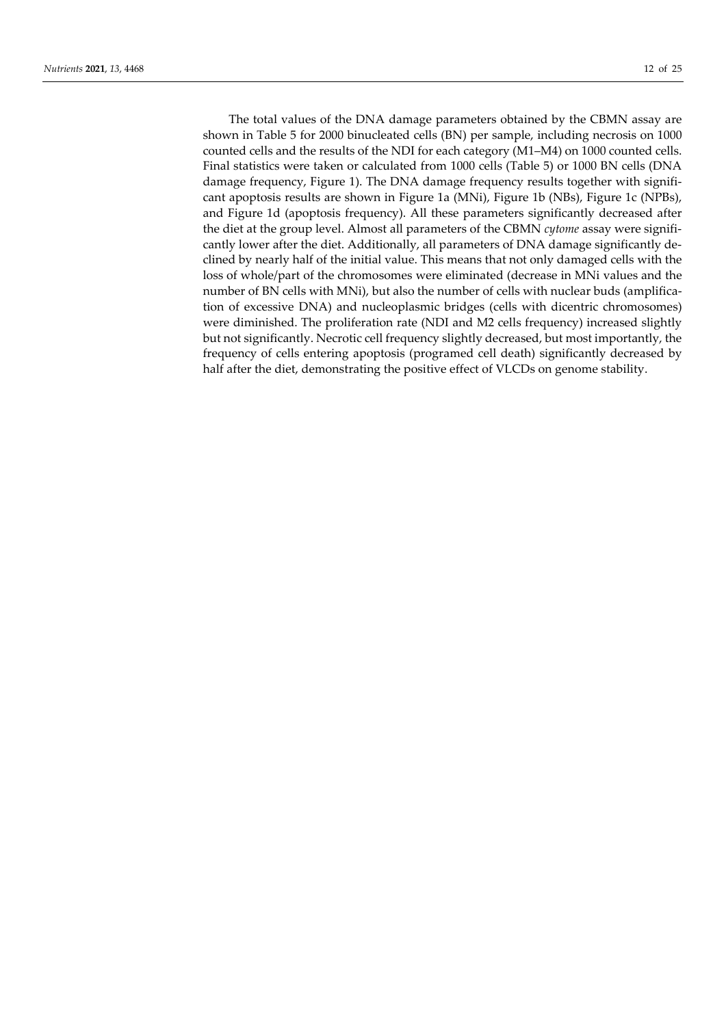The total values of the DNA damage parameters obtained by the CBMN assay are shown in Table 5 for 2000 binucleated cells (BN) per sample, including necrosis on 1000 counted cells and the results of the NDI for each category (M1–M4) on 1000 counted cells. Final statistics were taken or calculated from 1000 cells (Table 5) or 1000 BN cells (DNA damage frequency, Figure 1). The DNA damage frequency results together with significant apoptosis results are shown in Figure 1a (MNi), Figure 1b (NBs), Figure 1c (NPBs), and Figure 1d (apoptosis frequency). All these parameters significantly decreased after the diet at the group level. Almost all parameters of the CBMN *cytome* assay were significantly lower after the diet. Additionally, all parameters of DNA damage significantly declined by nearly half of the initial value. This means that not only damaged cells with the loss of whole/part of the chromosomes were eliminated (decrease in MNi values and the number of BN cells with MNi), but also the number of cells with nuclear buds (amplification of excessive DNA) and nucleoplasmic bridges (cells with dicentric chromosomes) were diminished. The proliferation rate (NDI and M2 cells frequency) increased slightly but not significantly. Necrotic cell frequency slightly decreased, but most importantly, the frequency of cells entering apoptosis (programed cell death) significantly decreased by half after the diet, demonstrating the positive effect of VLCDs on genome stability.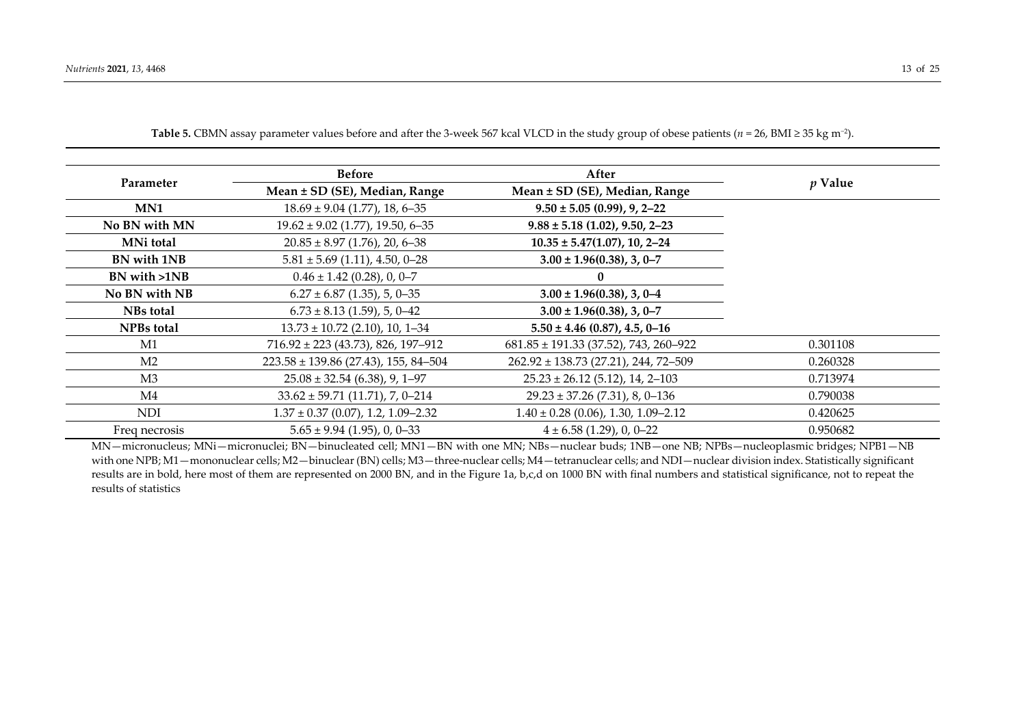|                   | <b>Before</b>                            | After                                     |           |
|-------------------|------------------------------------------|-------------------------------------------|-----------|
| Parameter         | Mean ± SD (SE), Median, Range            | Mean ± SD (SE), Median, Range             | $p$ Value |
| MN1               | $18.69 \pm 9.04$ (1.77), 18, 6-35        | $9.50 \pm 5.05$ (0.99), 9, 2–22           |           |
| No BN with MN     | $19.62 \pm 9.02$ (1.77), 19.50, 6-35     | $9.88 \pm 5.18$ (1.02), 9.50, 2-23        |           |
| MNi total         | $20.85 \pm 8.97$ (1.76), 20, 6-38        | $10.35 \pm 5.47(1.07), 10, 2-24$          |           |
| BN with 1NB       | $5.81 \pm 5.69$ (1.11), 4.50, 0-28       | $3.00 \pm 1.96(0.38), 3, 0-7$             |           |
| BN with >1NB      | $0.46 \pm 1.42$ (0.28), 0, 0-7           | 0                                         |           |
| No BN with NB     | $6.27 \pm 6.87$ (1.35), 5, 0-35          | $3.00 \pm 1.96(0.38), 3, 0-4$             |           |
| NBs total         | $6.73 \pm 8.13$ (1.59), 5, 0-42          | $3.00 \pm 1.96(0.38), 3, 0-7$             |           |
| <b>NPBs</b> total | $13.73 \pm 10.72$ (2.10), 10, 1-34       | $5.50 \pm 4.46$ (0.87), 4.5, 0-16         |           |
| M1                | $716.92 \pm 223$ (43.73), 826, 197-912   | $681.85 \pm 191.33$ (37.52), 743, 260-922 | 0.301108  |
| M <sub>2</sub>    | $223.58 \pm 139.86$ (27.43), 155, 84-504 | $262.92 \pm 138.73$ (27.21), 244, 72-509  | 0.260328  |
| M <sub>3</sub>    | $25.08 \pm 32.54$ (6.38), 9, 1-97        | $25.23 \pm 26.12$ (5.12), 14, 2-103       | 0.713974  |
| M4                | $33.62 \pm 59.71$ (11.71), 7, 0-214      | $29.23 \pm 37.26$ (7.31), 8, 0-136        | 0.790038  |
| <b>NDI</b>        | $1.37 \pm 0.37$ (0.07), 1.2, 1.09-2.32   | $1.40 \pm 0.28$ (0.06), 1.30, 1.09-2.12   | 0.420625  |
| Freq necrosis     | $5.65 \pm 9.94$ (1.95), 0, 0–33          | $4 \pm 6.58$ (1.29), 0, 0–22              | 0.950682  |

**Table 5.** CBMN assay parameter values before and after the 3-week 567 kcal VLCD in the study group of obese patients (*n* = 26, BMI ≥ 35 kg m−2).

MN—micronucleus; MNi—micronuclei; BN—binucleated cell; MN1—BN with one MN; NBs—nuclear buds; 1NB—one NB; NPBs—nucleoplasmic bridges; NPB1—NB with one NPB; M1 —mononuclear cells; M2 —binuclear (BN) cells; M3 —three-nuclear cells; M4 —tetranuclear cells; and NDI—nuclear division index. Statistically significant results are in bold, here most of them are represented on 2000 BN, and in the Figure 1a, b,c,d on 1000 BN with final numbers and statistical significance, not to repeat the results of statistics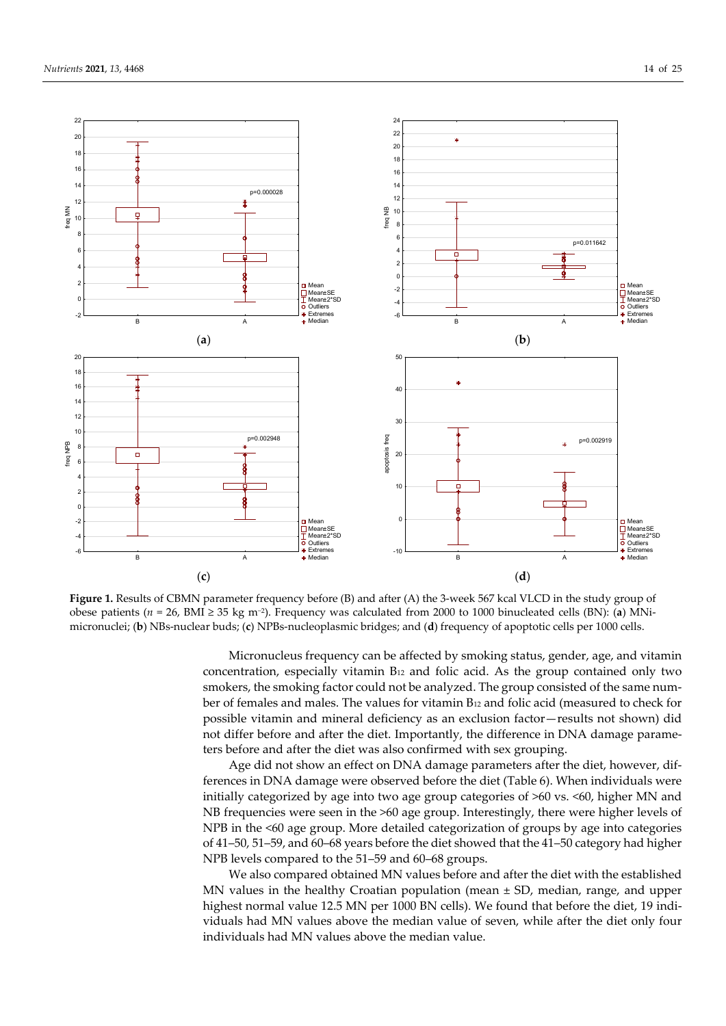



**Figure 1.** Results of CBMN parameter frequency before (B) and after (A) the 3-week 567 kcal VLCD in the study group of obese patients (*n* = 26, BMI ≥ 35 kg m−2). Frequency was calculated from 2000 to 1000 binucleated cells (BN): (**a**) MNimicronuclei; (**b**) NBs-nuclear buds; (**c**) NPBs-nucleoplasmic bridges; and (**d**) frequency of apoptotic cells per 1000 cells.

Micronucleus frequency can be affected by smoking status, gender, age, and vitamin concentration, especially vitamin B12 and folic acid. As the group contained only two smokers, the smoking factor could not be analyzed. The group consisted of the same number of females and males. The values for vitamin B12 and folic acid (measured to check for possible vitamin and mineral deficiency as an exclusion factor—results not shown) did not differ before and after the diet. Importantly, the difference in DNA damage parameters before and after the diet was also confirmed with sex grouping.

Age did not show an effect on DNA damage parameters after the diet, however, differences in DNA damage were observed before the diet (Table 6). When individuals were initially categorized by age into two age group categories of >60 vs. <60, higher MN and NB frequencies were seen in the >60 age group. Interestingly, there were higher levels of NPB in the <60 age group. More detailed categorization of groups by age into categories of 41–50, 51–59, and 60–68 years before the diet showed that the 41–50 category had higher NPB levels compared to the 51–59 and 60–68 groups.

We also compared obtained MN values before and after the diet with the established MN values in the healthy Croatian population (mean  $\pm$  SD, median, range, and upper highest normal value 12.5 MN per 1000 BN cells). We found that before the diet, 19 individuals had MN values above the median value of seven, while after the diet only four individuals had MN values above the median value.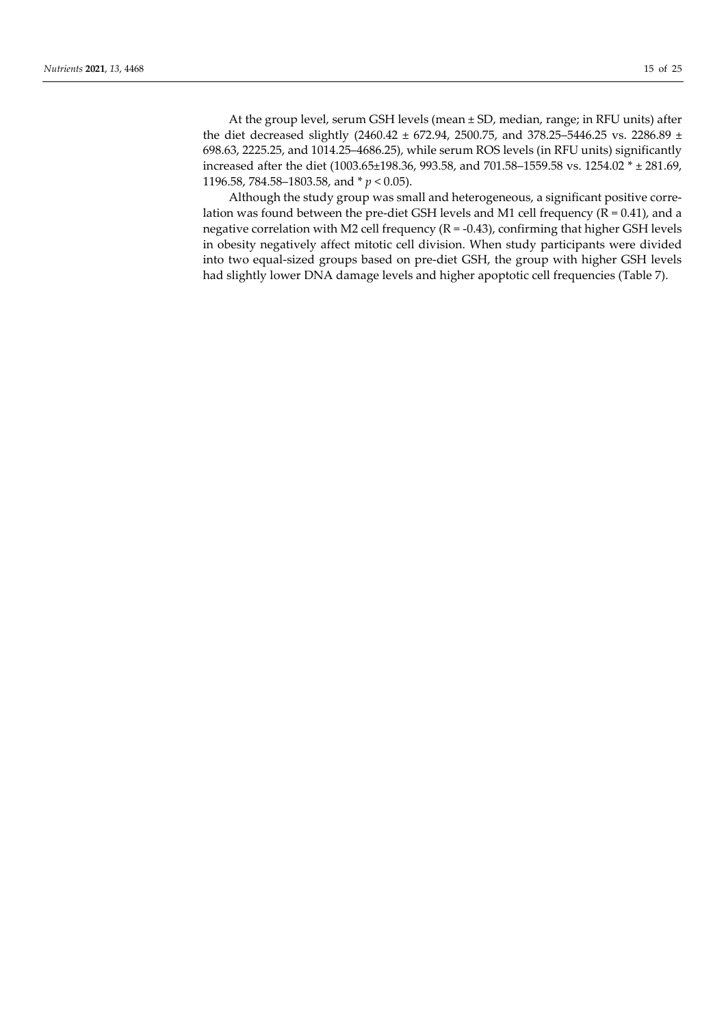At the group level, serum GSH levels (mean ± SD, median, range; in RFU units) after the diet decreased slightly (2460.42 ± 672.94, 2500.75, and 378.25–5446.25 vs. 2286.89 ± 698.63, 2225.25, and 1014.25–4686.25), while serum ROS levels (in RFU units) significantly increased after the diet (1003.65±198.36, 993.58, and 701.58–1559.58 vs. 1254.02 \* ± 281.69, 1196.58, 784.58–1803.58, and \* *p* < 0.05).

Although the study group was small and heterogeneous, a significant positive correlation was found between the pre-diet GSH levels and M1 cell frequency ( $R = 0.41$ ), and a negative correlation with M2 cell frequency ( $R = -0.43$ ), confirming that higher GSH levels in obesity negatively affect mitotic cell division. When study participants were divided into two equal-sized groups based on pre-diet GSH, the group with higher GSH levels had slightly lower DNA damage levels and higher apoptotic cell frequencies (Table 7).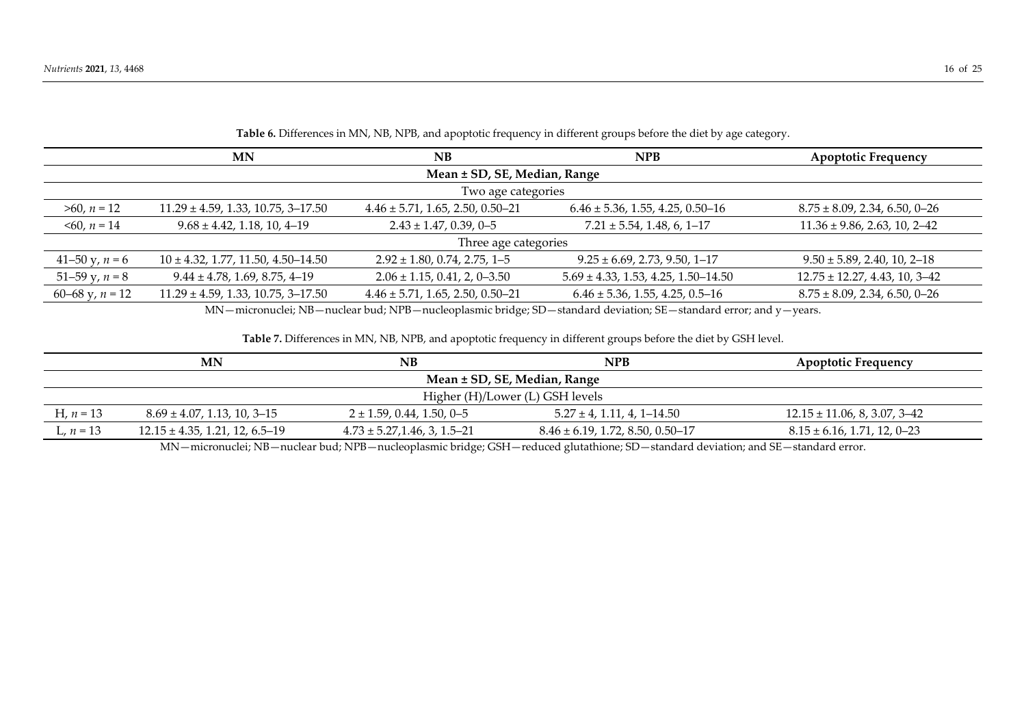|                   | MN                                       | NB                                     | NPB                                      | <b>Apoptotic Frequency</b>         |  |  |  |  |
|-------------------|------------------------------------------|----------------------------------------|------------------------------------------|------------------------------------|--|--|--|--|
|                   | Mean ± SD, SE, Median, Range             |                                        |                                          |                                    |  |  |  |  |
|                   |                                          | Two age categories                     |                                          |                                    |  |  |  |  |
| $>60, n = 12$     | $11.29 \pm 4.59$ , 1.33, 10.75, 3-17.50  | $4.46 \pm 5.71, 1.65, 2.50, 0.50 - 21$ | $6.46 \pm 5.36$ , 1.55, 4.25, 0.50-16    | $8.75 \pm 8.09$ , 2.34, 6.50, 0-26 |  |  |  |  |
| $\leq 60, n = 14$ | $9.68 \pm 4.42, 1.18, 10, 4-19$          | $2.43 \pm 1.47, 0.39, 0-5$             | $7.21 \pm 5.54, 1.48, 6, 1-17$           | $11.36 \pm 9.86$ , 2.63, 10, 2-42  |  |  |  |  |
|                   |                                          | Three age categories                   |                                          |                                    |  |  |  |  |
| 41–50 y, $n = 6$  | $10 \pm 4.32, 1.77, 11.50, 4.50 - 14.50$ | $2.92 \pm 1.80, 0.74, 2.75, 1 - 5$     | $9.25 \pm 6.69$ , 2.73, 9.50, 1-17       | $9.50 \pm 5.89$ , 2.40, 10, 2-18   |  |  |  |  |
| 51–59 y, $n = 8$  | $9.44 \pm 4.78, 1.69, 8.75, 4-19$        | $2.06 \pm 1.15, 0.41, 2, 0-3.50$       | $5.69 \pm 4.33$ , 1.53, 4.25, 1.50-14.50 | $12.75 \pm 12.27$ , 4.43, 10, 3-42 |  |  |  |  |
| 60–68 y, $n = 12$ | $11.29 \pm 4.59$ , 1.33, 10.75, 3-17.50  | $4.46 \pm 5.71, 1.65, 2.50, 0.50 - 21$ | $6.46 \pm 5.36$ , 1.55, 4.25, 0.5-16     | $8.75 \pm 8.09$ , 2.34, 6.50, 0-26 |  |  |  |  |

**Table 6.** Differences in MN, NB, NPB, and apoptotic frequency in different groups before the diet by age category.

MN—micronuclei; NB—nuclear bud; NPB—nucleoplasmic bridge; SD—standard deviation; SE—standard error; and y—years.

**Table 7.** Differences in MN, NB, NPB, and apoptotic frequency in different groups before the diet by GSH level.

|             | MN<br>NB                             |                                    | NPB                                   | Apoptotic Frequency               |  |  |  |  |
|-------------|--------------------------------------|------------------------------------|---------------------------------------|-----------------------------------|--|--|--|--|
|             | Mean ± SD, SE, Median, Range         |                                    |                                       |                                   |  |  |  |  |
|             | Higher (H)/Lower (L) GSH levels      |                                    |                                       |                                   |  |  |  |  |
| H, $n = 13$ | $8.69 \pm 4.07$ , 1.13, 10, 3–15     | $2 \pm 1.59$ , 0.44, 1.50, 0–5     | $5.27 \pm 4, 1.11, 4, 1-14.50$        | $12.15 \pm 11.06$ , 8, 3.07, 3–42 |  |  |  |  |
| L, $n = 13$ | $12.15 \pm 4.35, 1.21, 12, 6.5 - 19$ | $4.73 \pm 5.27, 1.46, 3, 1.5 - 21$ | $8.46 \pm 6.19$ , 1.72, 8.50, 0.50–17 | $8.15 \pm 6.16$ , 1.71, 12, 0–23  |  |  |  |  |
|             |                                      | $- - - -$<br>.                     | .                                     |                                   |  |  |  |  |

MN—micronuclei; NB—nuclear bud; NPB—nucleoplasmic bridge; GSH—reduced glutathione; SD—standard deviation; and SE—standard error.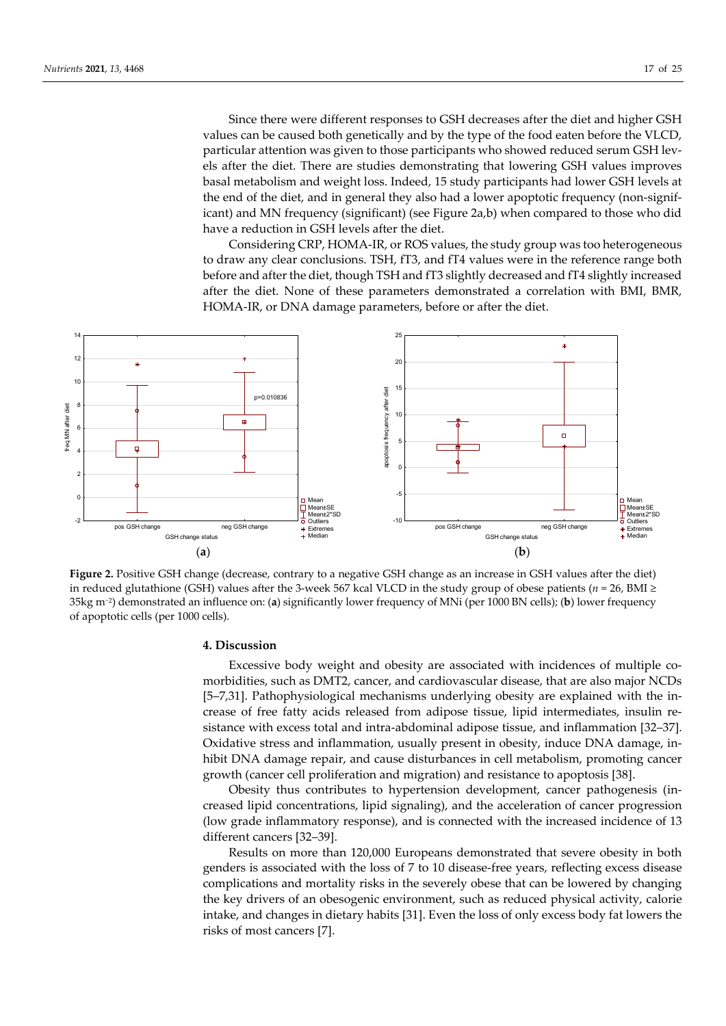Since there were different responses to GSH decreases after the diet and higher GSH values can be caused both genetically and by the type of the food eaten before the VLCD, particular attention was given to those participants who showed reduced serum GSH levels after the diet. There are studies demonstrating that lowering GSH values improves basal metabolism and weight loss. Indeed, 15 study participants had lower GSH levels at the end of the diet, and in general they also had a lower apoptotic frequency (non-significant) and MN frequency (significant) (see Figure 2a,b) when compared to those who did have a reduction in GSH levels after the diet.

Considering CRP, HOMA-IR, or ROS values, the study group was too heterogeneous to draw any clear conclusions. TSH, fT3, and fT4 values were in the reference range both before and after the diet, though TSH and fT3 slightly decreased and fT4 slightly increased after the diet. None of these parameters demonstrated a correlation with BMI, BMR, HOMA-IR, or DNA damage parameters, before or after the diet.



**Figure 2.** Positive GSH change (decrease, contrary to a negative GSH change as an increase in GSH values after the diet) in reduced glutathione (GSH) values after the 3-week 567 kcal VLCD in the study group of obese patients ( $n = 26$ , BMI  $\ge$ 35kg m−2) demonstrated an influence on: (**a**) significantly lower frequency of MNi (per 1000 BN cells); (**b**) lower frequency of apoptotic cells (per 1000 cells).

#### **4. Discussion**

Excessive body weight and obesity are associated with incidences of multiple comorbidities, such as DMT2, cancer, and cardiovascular disease, that are also major NCDs [5–7,31]. Pathophysiological mechanisms underlying obesity are explained with the increase of free fatty acids released from adipose tissue, lipid intermediates, insulin resistance with excess total and intra-abdominal adipose tissue, and inflammation [32–37]. Oxidative stress and inflammation, usually present in obesity, induce DNA damage, inhibit DNA damage repair, and cause disturbances in cell metabolism, promoting cancer growth (cancer cell proliferation and migration) and resistance to apoptosis [38].

Obesity thus contributes to hypertension development, cancer pathogenesis (increased lipid concentrations, lipid signaling), and the acceleration of cancer progression (low grade inflammatory response), and is connected with the increased incidence of 13 different cancers [32–39].

Results on more than 120,000 Europeans demonstrated that severe obesity in both genders is associated with the loss of 7 to 10 disease-free years, reflecting excess disease complications and mortality risks in the severely obese that can be lowered by changing the key drivers of an obesogenic environment, such as reduced physical activity, calorie intake, and changes in dietary habits [31]. Even the loss of only excess body fat lowers the risks of most cancers [7].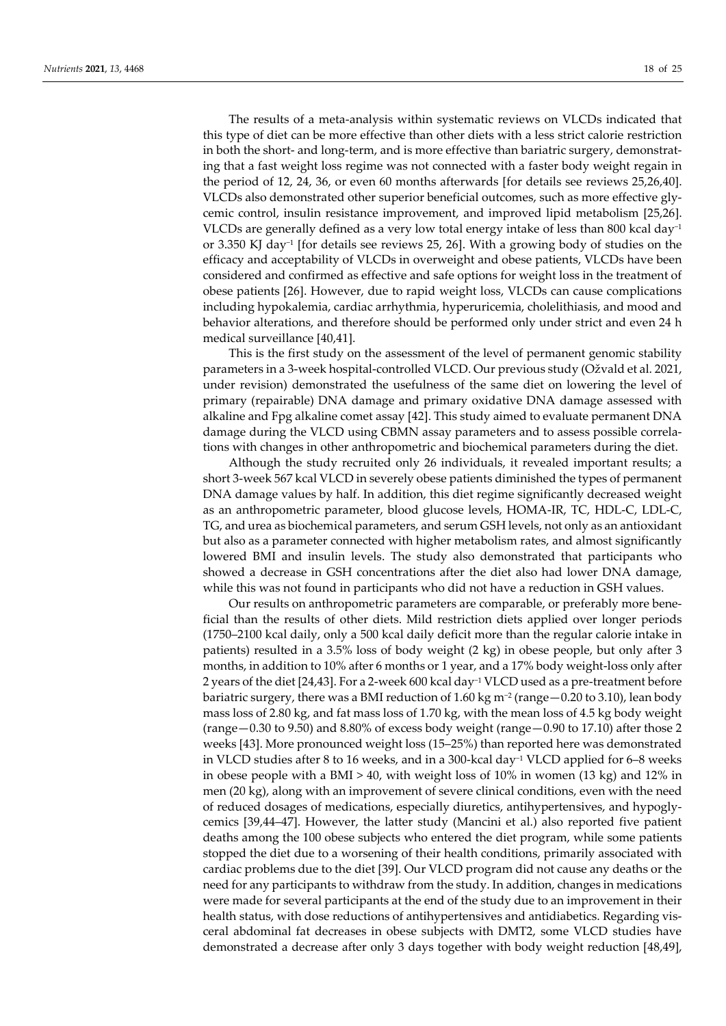The results of a meta-analysis within systematic reviews on VLCDs indicated that this type of diet can be more effective than other diets with a less strict calorie restriction in both the short- and long-term, and is more effective than bariatric surgery, demonstrating that a fast weight loss regime was not connected with a faster body weight regain in the period of 12, 24, 36, or even 60 months afterwards [for details see reviews 25,26,40]. VLCDs also demonstrated other superior beneficial outcomes, such as more effective glycemic control, insulin resistance improvement, and improved lipid metabolism [25,26]. VLCDs are generally defined as a very low total energy intake of less than 800 kcal day−1 or 3.350 KJ day−1 [for details see reviews 25, 26]. With a growing body of studies on the efficacy and acceptability of VLCDs in overweight and obese patients, VLCDs have been considered and confirmed as effective and safe options for weight loss in the treatment of obese patients [26]. However, due to rapid weight loss, VLCDs can cause complications including hypokalemia, cardiac arrhythmia, hyperuricemia, cholelithiasis, and mood and behavior alterations, and therefore should be performed only under strict and even 24 h medical surveillance [40,41].

This is the first study on the assessment of the level of permanent genomic stability parameters in a 3-week hospital-controlled VLCD. Our previous study (Ožvald et al. 2021, under revision) demonstrated the usefulness of the same diet on lowering the level of primary (repairable) DNA damage and primary oxidative DNA damage assessed with alkaline and Fpg alkaline comet assay [42]. This study aimed to evaluate permanent DNA damage during the VLCD using CBMN assay parameters and to assess possible correlations with changes in other anthropometric and biochemical parameters during the diet.

Although the study recruited only 26 individuals, it revealed important results; a short 3-week 567 kcal VLCD in severely obese patients diminished the types of permanent DNA damage values by half. In addition, this diet regime significantly decreased weight as an anthropometric parameter, blood glucose levels, HOMA-IR, TC, HDL-C, LDL-C, TG, and urea as biochemical parameters, and serum GSH levels, not only as an antioxidant but also as a parameter connected with higher metabolism rates, and almost significantly lowered BMI and insulin levels. The study also demonstrated that participants who showed a decrease in GSH concentrations after the diet also had lower DNA damage, while this was not found in participants who did not have a reduction in GSH values.

Our results on anthropometric parameters are comparable, or preferably more beneficial than the results of other diets. Mild restriction diets applied over longer periods (1750–2100 kcal daily, only a 500 kcal daily deficit more than the regular calorie intake in patients) resulted in a 3.5% loss of body weight (2 kg) in obese people, but only after 3 months, in addition to 10% after 6 months or 1 year, and a 17% body weight-loss only after 2 years of the diet [24,43]. For a 2-week 600 kcal day−1 VLCD used as a pre-treatment before bariatric surgery, there was a BMI reduction of 1.60 kg m−2 (range—0.20 to 3.10), lean body mass loss of 2.80 kg, and fat mass loss of 1.70 kg, with the mean loss of 4.5 kg body weight (range—0.30 to 9.50) and 8.80% of excess body weight (range—0.90 to 17.10) after those 2 weeks [43]. More pronounced weight loss (15–25%) than reported here was demonstrated in VLCD studies after 8 to 16 weeks, and in a 300-kcal day−1 VLCD applied for 6–8 weeks in obese people with a BMI  $> 40$ , with weight loss of 10% in women (13 kg) and 12% in men (20 kg), along with an improvement of severe clinical conditions, even with the need of reduced dosages of medications, especially diuretics, antihypertensives, and hypoglycemics [39,44–47]. However, the latter study (Mancini et al.) also reported five patient deaths among the 100 obese subjects who entered the diet program, while some patients stopped the diet due to a worsening of their health conditions, primarily associated with cardiac problems due to the diet [39]. Our VLCD program did not cause any deaths or the need for any participants to withdraw from the study. In addition, changes in medications were made for several participants at the end of the study due to an improvement in their health status, with dose reductions of antihypertensives and antidiabetics. Regarding visceral abdominal fat decreases in obese subjects with DMT2, some VLCD studies have demonstrated a decrease after only 3 days together with body weight reduction [48,49],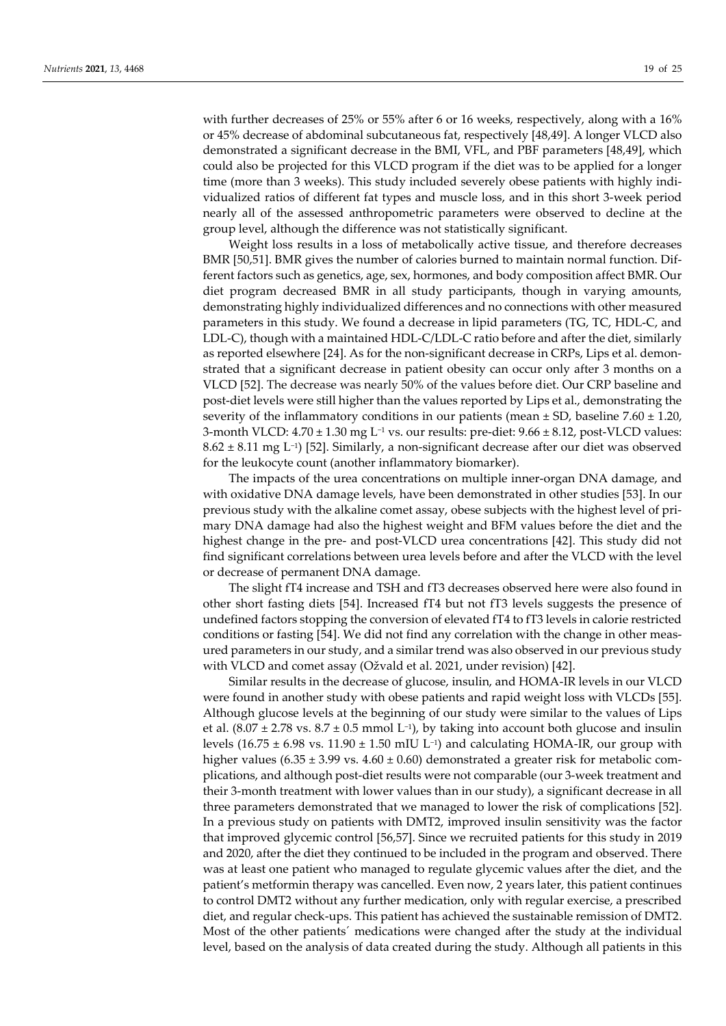with further decreases of 25% or 55% after 6 or 16 weeks, respectively, along with a 16% or 45% decrease of abdominal subcutaneous fat, respectively [48,49]. A longer VLCD also demonstrated a significant decrease in the BMI, VFL, and PBF parameters [48,49], which could also be projected for this VLCD program if the diet was to be applied for a longer time (more than 3 weeks). This study included severely obese patients with highly individualized ratios of different fat types and muscle loss, and in this short 3-week period nearly all of the assessed anthropometric parameters were observed to decline at the group level, although the difference was not statistically significant.

Weight loss results in a loss of metabolically active tissue, and therefore decreases BMR [50,51]. BMR gives the number of calories burned to maintain normal function. Different factors such as genetics, age, sex, hormones, and body composition affect BMR. Our diet program decreased BMR in all study participants, though in varying amounts, demonstrating highly individualized differences and no connections with other measured parameters in this study. We found a decrease in lipid parameters (TG, TC, HDL-C, and LDL-C), though with a maintained HDL-C/LDL-C ratio before and after the diet, similarly as reported elsewhere [24]. As for the non-significant decrease in CRPs, Lips et al. demonstrated that a significant decrease in patient obesity can occur only after 3 months on a VLCD [52]. The decrease was nearly 50% of the values before diet. Our CRP baseline and post-diet levels were still higher than the values reported by Lips et al., demonstrating the severity of the inflammatory conditions in our patients (mean  $\pm$  SD, baseline 7.60  $\pm$  1.20, 3-month VLCD: 4.70 ± 1.30 mg L−1 vs. our results: pre-diet: 9.66 ± 8.12, post-VLCD values: 8.62 ± 8.11 mg L−1) [52]. Similarly, a non-significant decrease after our diet was observed for the leukocyte count (another inflammatory biomarker).

The impacts of the urea concentrations on multiple inner-organ DNA damage, and with oxidative DNA damage levels, have been demonstrated in other studies [53]. In our previous study with the alkaline comet assay, obese subjects with the highest level of primary DNA damage had also the highest weight and BFM values before the diet and the highest change in the pre- and post-VLCD urea concentrations [42]. This study did not find significant correlations between urea levels before and after the VLCD with the level or decrease of permanent DNA damage.

The slight fT4 increase and TSH and fT3 decreases observed here were also found in other short fasting diets [54]. Increased fT4 but not fT3 levels suggests the presence of undefined factors stopping the conversion of elevated fT4 to fT3 levels in calorie restricted conditions or fasting [54]. We did not find any correlation with the change in other measured parameters in our study, and a similar trend was also observed in our previous study with VLCD and comet assay (Ožvald et al. 2021, under revision) [42].

Similar results in the decrease of glucose, insulin, and HOMA-IR levels in our VLCD were found in another study with obese patients and rapid weight loss with VLCDs [55]. Although glucose levels at the beginning of our study were similar to the values of Lips et al.  $(8.07 \pm 2.78 \text{ vs. } 8.7 \pm 0.5 \text{ mmol L}^{-1})$ , by taking into account both glucose and insulin levels (16.75  $\pm$  6.98 vs. 11.90  $\pm$  1.50 mIU L<sup>-1</sup>) and calculating HOMA-IR, our group with higher values  $(6.35 \pm 3.99 \text{ vs. } 4.60 \pm 0.60)$  demonstrated a greater risk for metabolic complications, and although post-diet results were not comparable (our 3-week treatment and their 3-month treatment with lower values than in our study), a significant decrease in all three parameters demonstrated that we managed to lower the risk of complications [52]. In a previous study on patients with DMT2, improved insulin sensitivity was the factor that improved glycemic control [56,57]. Since we recruited patients for this study in 2019 and 2020, after the diet they continued to be included in the program and observed. There was at least one patient who managed to regulate glycemic values after the diet, and the patient's metformin therapy was cancelled. Even now, 2 years later, this patient continues to control DMT2 without any further medication, only with regular exercise, a prescribed diet, and regular check-ups. This patient has achieved the sustainable remission of DMT2. Most of the other patients´ medications were changed after the study at the individual level, based on the analysis of data created during the study. Although all patients in this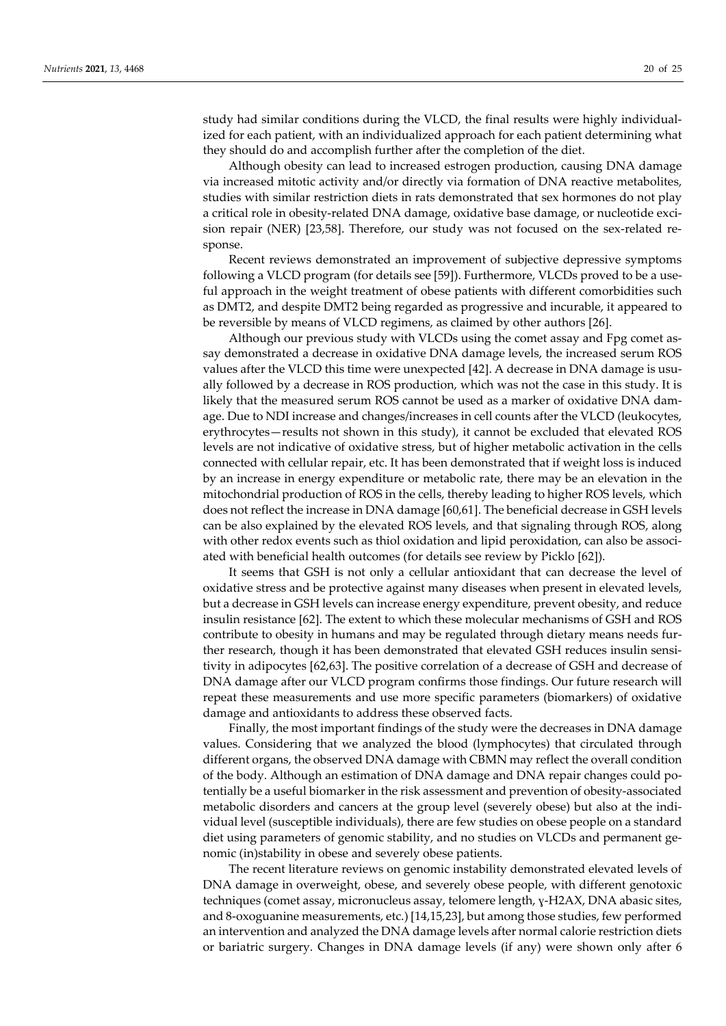study had similar conditions during the VLCD, the final results were highly individualized for each patient, with an individualized approach for each patient determining what they should do and accomplish further after the completion of the diet.

Although obesity can lead to increased estrogen production, causing DNA damage via increased mitotic activity and/or directly via formation of DNA reactive metabolites, studies with similar restriction diets in rats demonstrated that sex hormones do not play a critical role in obesity-related DNA damage, oxidative base damage, or nucleotide excision repair (NER) [23,58]. Therefore, our study was not focused on the sex-related response.

Recent reviews demonstrated an improvement of subjective depressive symptoms following a VLCD program (for details see [59]). Furthermore, VLCDs proved to be a useful approach in the weight treatment of obese patients with different comorbidities such as DMT2, and despite DMT2 being regarded as progressive and incurable, it appeared to be reversible by means of VLCD regimens, as claimed by other authors [26].

Although our previous study with VLCDs using the comet assay and Fpg comet assay demonstrated a decrease in oxidative DNA damage levels, the increased serum ROS values after the VLCD this time were unexpected [42]. A decrease in DNA damage is usually followed by a decrease in ROS production, which was not the case in this study. It is likely that the measured serum ROS cannot be used as a marker of oxidative DNA damage. Due to NDI increase and changes/increases in cell counts after the VLCD (leukocytes, erythrocytes—results not shown in this study), it cannot be excluded that elevated ROS levels are not indicative of oxidative stress, but of higher metabolic activation in the cells connected with cellular repair, etc. It has been demonstrated that if weight loss is induced by an increase in energy expenditure or metabolic rate, there may be an elevation in the mitochondrial production of ROS in the cells, thereby leading to higher ROS levels, which does not reflect the increase in DNA damage [60,61]. The beneficial decrease in GSH levels can be also explained by the elevated ROS levels, and that signaling through ROS, along with other redox events such as thiol oxidation and lipid peroxidation, can also be associated with beneficial health outcomes (for details see review by Picklo [62]).

It seems that GSH is not only a cellular antioxidant that can decrease the level of oxidative stress and be protective against many diseases when present in elevated levels, but a decrease in GSH levels can increase energy expenditure, prevent obesity, and reduce insulin resistance [62]. The extent to which these molecular mechanisms of GSH and ROS contribute to obesity in humans and may be regulated through dietary means needs further research, though it has been demonstrated that elevated GSH reduces insulin sensitivity in adipocytes [62,63]. The positive correlation of a decrease of GSH and decrease of DNA damage after our VLCD program confirms those findings. Our future research will repeat these measurements and use more specific parameters (biomarkers) of oxidative damage and antioxidants to address these observed facts.

Finally, the most important findings of the study were the decreases in DNA damage values. Considering that we analyzed the blood (lymphocytes) that circulated through different organs, the observed DNA damage with CBMN may reflect the overall condition of the body. Although an estimation of DNA damage and DNA repair changes could potentially be a useful biomarker in the risk assessment and prevention of obesity-associated metabolic disorders and cancers at the group level (severely obese) but also at the individual level (susceptible individuals), there are few studies on obese people on a standard diet using parameters of genomic stability, and no studies on VLCDs and permanent genomic (in)stability in obese and severely obese patients.

The recent literature reviews on genomic instability demonstrated elevated levels of DNA damage in overweight, obese, and severely obese people, with different genotoxic techniques (comet assay, micronucleus assay, telomere length, ɣ-H2AX, DNA abasic sites, and 8-oxoguanine measurements, etc.) [14,15,23], but among those studies, few performed an intervention and analyzed the DNA damage levels after normal calorie restriction diets or bariatric surgery. Changes in DNA damage levels (if any) were shown only after 6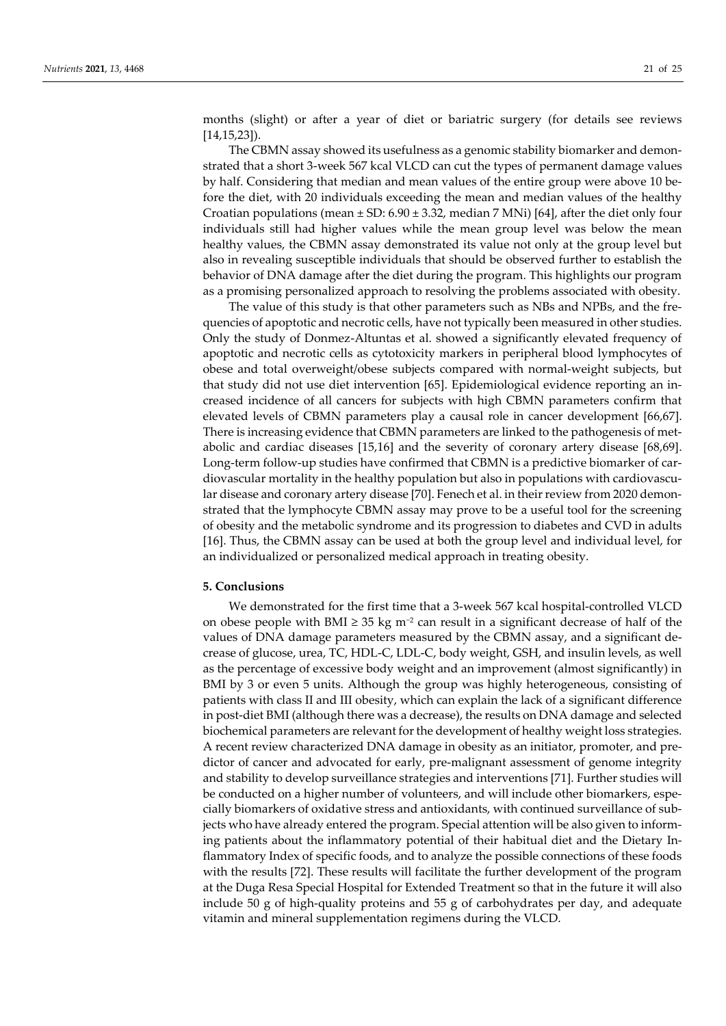months (slight) or after a year of diet or bariatric surgery (for details see reviews [14,15,23]).

The CBMN assay showed its usefulness as a genomic stability biomarker and demonstrated that a short 3-week 567 kcal VLCD can cut the types of permanent damage values by half. Considering that median and mean values of the entire group were above 10 before the diet, with 20 individuals exceeding the mean and median values of the healthy Croatian populations (mean  $\pm$  SD: 6.90  $\pm$  3.32, median 7 MNi) [64], after the diet only four individuals still had higher values while the mean group level was below the mean healthy values, the CBMN assay demonstrated its value not only at the group level but also in revealing susceptible individuals that should be observed further to establish the behavior of DNA damage after the diet during the program. This highlights our program as a promising personalized approach to resolving the problems associated with obesity.

The value of this study is that other parameters such as NBs and NPBs, and the frequencies of apoptotic and necrotic cells, have not typically been measured in other studies. Only the study of Donmez-Altuntas et al. showed a significantly elevated frequency of apoptotic and necrotic cells as cytotoxicity markers in peripheral blood lymphocytes of obese and total overweight/obese subjects compared with normal-weight subjects, but that study did not use diet intervention [65]. Epidemiological evidence reporting an increased incidence of all cancers for subjects with high CBMN parameters confirm that elevated levels of CBMN parameters play a causal role in cancer development [66,67]. There is increasing evidence that CBMN parameters are linked to the pathogenesis of metabolic and cardiac diseases [15,16] and the severity of coronary artery disease [68,69]. Long-term follow-up studies have confirmed that CBMN is a predictive biomarker of cardiovascular mortality in the healthy population but also in populations with cardiovascular disease and coronary artery disease [70]. Fenech et al. in their review from 2020 demonstrated that the lymphocyte CBMN assay may prove to be a useful tool for the screening of obesity and the metabolic syndrome and its progression to diabetes and CVD in adults [16]. Thus, the CBMN assay can be used at both the group level and individual level, for an individualized or personalized medical approach in treating obesity.

## **5. Conclusions**

We demonstrated for the first time that a 3-week 567 kcal hospital-controlled VLCD on obese people with BMI ≥ 35 kg m<sup>-2</sup> can result in a significant decrease of half of the values of DNA damage parameters measured by the CBMN assay, and a significant decrease of glucose, urea, TC, HDL-C, LDL-C, body weight, GSH, and insulin levels, as well as the percentage of excessive body weight and an improvement (almost significantly) in BMI by 3 or even 5 units. Although the group was highly heterogeneous, consisting of patients with class II and III obesity, which can explain the lack of a significant difference in post-diet BMI (although there was a decrease), the results on DNA damage and selected biochemical parameters are relevant for the development of healthy weight loss strategies. A recent review characterized DNA damage in obesity as an initiator, promoter, and predictor of cancer and advocated for early, pre-malignant assessment of genome integrity and stability to develop surveillance strategies and interventions [71]. Further studies will be conducted on a higher number of volunteers, and will include other biomarkers, especially biomarkers of oxidative stress and antioxidants, with continued surveillance of subjects who have already entered the program. Special attention will be also given to informing patients about the inflammatory potential of their habitual diet and the Dietary Inflammatory Index of specific foods, and to analyze the possible connections of these foods with the results [72]. These results will facilitate the further development of the program at the Duga Resa Special Hospital for Extended Treatment so that in the future it will also include 50 g of high-quality proteins and 55 g of carbohydrates per day, and adequate vitamin and mineral supplementation regimens during the VLCD.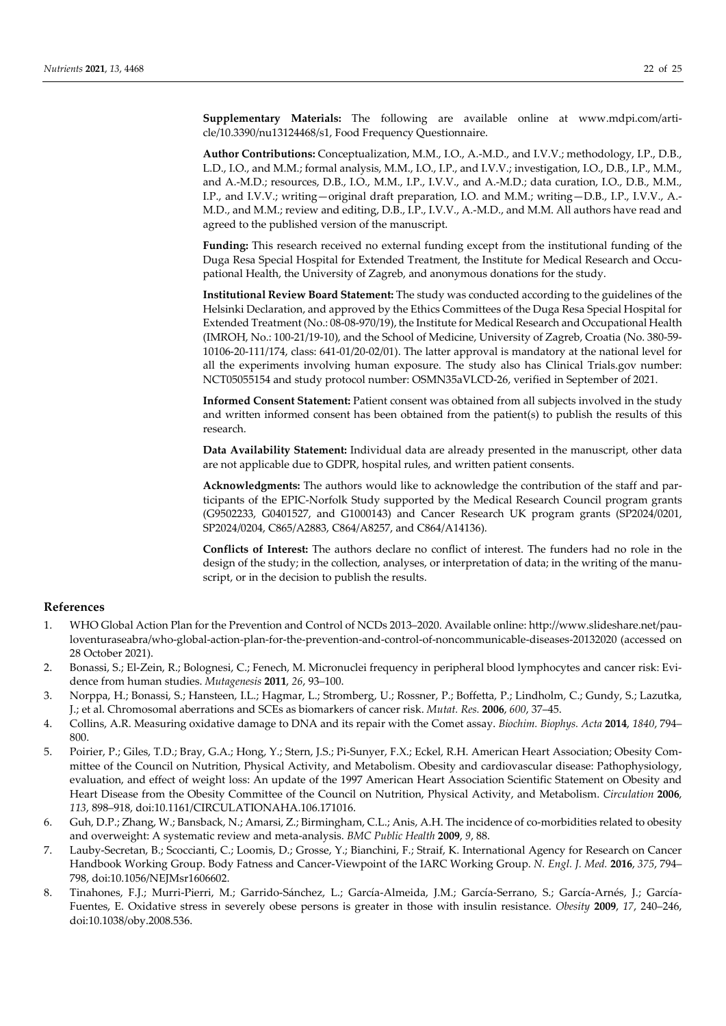**Supplementary Materials:** The following are available online at www.mdpi.com/article/10.3390/nu13124468/s1, Food Frequency Questionnaire.

**Author Contributions:** Conceptualization, M.M., I.O., A.-M.D., and I.V.V.; methodology, I.P., D.B., L.D., I.O., and M.M.; formal analysis, M.M., I.O., I.P., and I.V.V.; investigation, I.O., D.B., I.P., M.M., and A.-M.D.; resources, D.B., I.O., M.M., I.P., I.V.V., and A.-M.D.; data curation, I.O., D.B., M.M., I.P., and I.V.V.; writing—original draft preparation, I.O. and M.M.; writing—D.B., I.P., I.V.V., A.- M.D., and M.M.; review and editing, D.B., I.P., I.V.V., A.-M.D., and M.M. All authors have read and agreed to the published version of the manuscript.

**Funding:** This research received no external funding except from the institutional funding of the Duga Resa Special Hospital for Extended Treatment, the Institute for Medical Research and Occupational Health, the University of Zagreb, and anonymous donations for the study.

**Institutional Review Board Statement:** The study was conducted according to the guidelines of the Helsinki Declaration, and approved by the Ethics Committees of the Duga Resa Special Hospital for Extended Treatment (No.: 08-08-970/19), the Institute for Medical Research and Occupational Health (IMROH, No.: 100-21/19-10), and the School of Medicine, University of Zagreb, Croatia (No. 380-59- 10106-20-111/174, class: 641-01/20-02/01). The latter approval is mandatory at the national level for all the experiments involving human exposure. The study also has Clinical Trials.gov number: NCT05055154 and study protocol number: OSMN35aVLCD-26, verified in September of 2021.

**Informed Consent Statement:** Patient consent was obtained from all subjects involved in the study and written informed consent has been obtained from the patient(s) to publish the results of this research.

**Data Availability Statement:** Individual data are already presented in the manuscript, other data are not applicable due to GDPR, hospital rules, and written patient consents.

**Acknowledgments:** The authors would like to acknowledge the contribution of the staff and participants of the EPIC-Norfolk Study supported by the Medical Research Council program grants (G9502233, G0401527, and G1000143) and Cancer Research UK program grants (SP2024/0201, SP2024/0204, C865/A2883, C864/A8257, and C864/A14136).

**Conflicts of Interest:** The authors declare no conflict of interest. The funders had no role in the design of the study; in the collection, analyses, or interpretation of data; in the writing of the manuscript, or in the decision to publish the results.

#### **References**

- 1. WHO Global Action Plan for the Prevention and Control of NCDs 2013–2020. Available online: http://www.slideshare.net/pauloventuraseabra/who-global-action-plan-for-the-prevention-and-control-of-noncommunicable-diseases-20132020 (accessed on 28 October 2021).
- 2. Bonassi, S.; El-Zein, R.; Bolognesi, C.; Fenech, M. Micronuclei frequency in peripheral blood lymphocytes and cancer risk: Evidence from human studies. *Mutagenesis* **2011**, *26*, 93–100.
- 3. Norppa, H.; Bonassi, S.; Hansteen, I.L.; Hagmar, L.; Stromberg, U.; Rossner, P.; Boffetta, P.; Lindholm, C.; Gundy, S.; Lazutka, J.; et al. Chromosomal aberrations and SCEs as biomarkers of cancer risk. *Mutat. Res.* **2006**, *600*, 37–45.
- 4. Collins, A.R. Measuring oxidative damage to DNA and its repair with the Comet assay. *Biochim. Biophys. Acta* **2014**, *1840*, 794– 800.
- 5. Poirier, P.; Giles, T.D.; Bray, G.A.; Hong, Y.; Stern, J.S.; Pi-Sunyer, F.X.; Eckel, R.H. American Heart Association; Obesity Committee of the Council on Nutrition, Physical Activity, and Metabolism. Obesity and cardiovascular disease: Pathophysiology, evaluation, and effect of weight loss: An update of the 1997 American Heart Association Scientific Statement on Obesity and Heart Disease from the Obesity Committee of the Council on Nutrition, Physical Activity, and Metabolism. *Circulation* **2006**, *113*, 898–918, doi:10.1161/CIRCULATIONAHA.106.171016.
- 6. Guh, D.P.; Zhang, W.; Bansback, N.; Amarsi, Z.; Birmingham, C.L.; Anis, A.H. The incidence of co-morbidities related to obesity and overweight: A systematic review and meta-analysis. *BMC Public Health* **2009**, *9*, 88.
- 7. Lauby-Secretan, B.; Scoccianti, C.; Loomis, D.; Grosse, Y.; Bianchini, F.; Straif, K. International Agency for Research on Cancer Handbook Working Group. Body Fatness and Cancer-Viewpoint of the IARC Working Group. *N. Engl. J. Med.* **2016**, *375*, 794– 798, doi:10.1056/NEJMsr1606602.
- 8. Tinahones, F.J.; Murri-Pierri, M.; Garrido-Sánchez, L.; García-Almeida, J.M.; García-Serrano, S.; García-Arnés, J.; García-Fuentes, E. Oxidative stress in severely obese persons is greater in those with insulin resistance. *Obesity* **2009**, *17*, 240–246, doi:10.1038/oby.2008.536.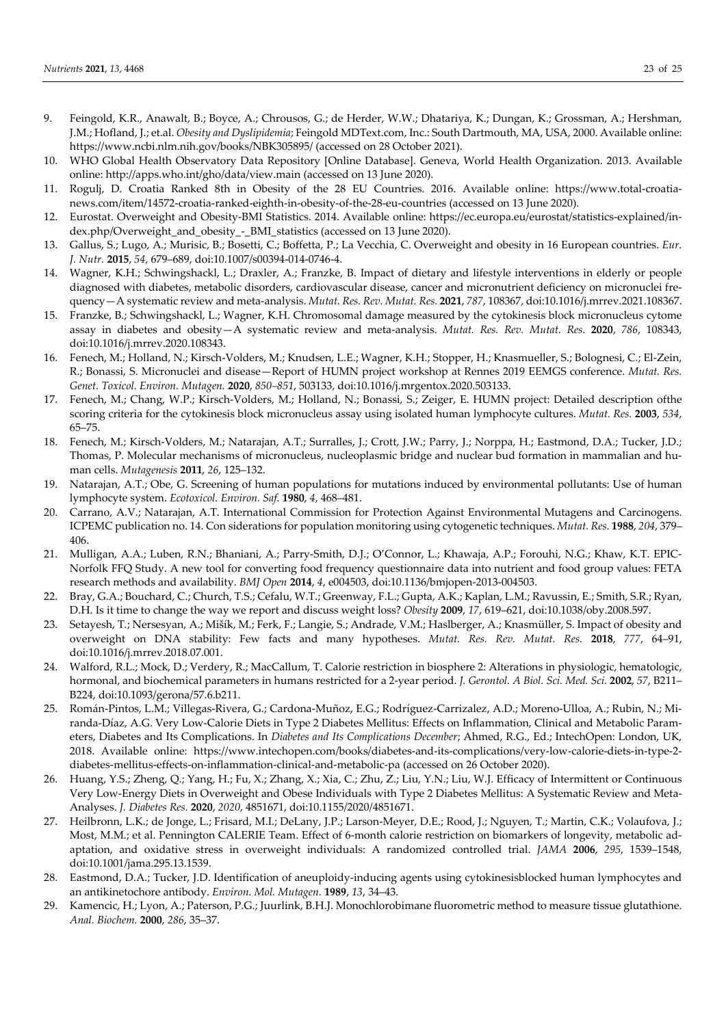- 9. Feingold, K.R., Anawalt, B.; Boyce, A.; Chrousos, G.; de Herder, W.W.; Dhatariya, K.; Dungan, K.; Grossman, A.; Hershman, J.M.; Hofland, J.; et.al. *Obesity and Dyslipidemia*; Feingold MDText.com, Inc.: South Dartmouth, MA, USA, 2000. Available online: https://www.ncbi.nlm.nih.gov/books/NBK305895/ (accessed on 28 October 2021).
- 10. WHO Global Health Observatory Data Repository [Online Database]. Geneva, World Health Organization. 2013. Available online: http://apps.who.int/gho/data/view.main (accessed on 13 June 2020).
- 11. Rogulj, D. Croatia Ranked 8th in Obesity of the 28 EU Countries. 2016. Available online: https://www.total-croatianews.com/item/14572-croatia-ranked-eighth-in-obesity-of-the-28-eu-countries (accessed on 13 June 2020).
- 12. Eurostat. Overweight and Obesity-BMI Statistics. 2014. Available online: https://ec.europa.eu/eurostat/statistics-explained/index.php/Overweight\_and\_obesity\_-\_BMI\_statistics (accessed on 13 June 2020).
- 13. Gallus, S.; Lugo, A.; Murisic, B.; Bosetti, C.; Boffetta, P.; La Vecchia, C. Overweight and obesity in 16 European countries. *Eur. J. Nutr.* **2015**, *54*, 679–689, doi:10.1007/s00394-014-0746-4.
- 14. Wagner, K.H.; Schwingshackl, L.; Draxler, A.; Franzke, B. Impact of dietary and lifestyle interventions in elderly or people diagnosed with diabetes, metabolic disorders, cardiovascular disease, cancer and micronutrient deficiency on micronuclei frequency—A systematic review and meta-analysis. *Mutat. Res. Rev. Mutat. Res.* **2021**, *787*, 108367, doi:10.1016/j.mrrev.2021.108367.
- 15. Franzke, B.; Schwingshackl, L.; Wagner, K.H. Chromosomal damage measured by the cytokinesis block micronucleus cytome assay in diabetes and obesity—A systematic review and meta-analysis. *Mutat. Res. Rev. Mutat. Res.* **2020**, *786*, 108343, doi:10.1016/j.mrrev.2020.108343.
- 16. Fenech, M.; Holland, N.; Kirsch-Volders, M.; Knudsen, L.E.; Wagner, K.H.; Stopper, H.; Knasmueller, S.; Bolognesi, C.; El-Zein, R.; Bonassi, S. Micronuclei and disease—Report of HUMN project workshop at Rennes 2019 EEMGS conference. *Mutat. Res. Genet. Toxicol. Environ. Mutagen.* **2020**, *850–851*, 503133, doi:10.1016/j.mrgentox.2020.503133.
- 17. Fenech, M.; Chang, W.P.; Kirsch-Volders, M.; Holland, N.; Bonassi, S.; Zeiger, E. HUMN project: Detailed description ofthe scoring criteria for the cytokinesis block micronucleus assay using isolated human lymphocyte cultures. *Mutat. Res.* **2003**, *534*, 65–75.
- 18. Fenech, M.; Kirsch-Volders, M.; Natarajan, A.T.; Surralles, J.; Crott, J.W.; Parry, J.; Norppa, H.; Eastmond, D.A.; Tucker, J.D.; Thomas, P. Molecular mechanisms of micronucleus, nucleoplasmic bridge and nuclear bud formation in mammalian and human cells. *Mutagenesis* **2011**, *26*, 125–132.
- 19. Natarajan, A.T.; Obe, G. Screening of human populations for mutations induced by environmental pollutants: Use of human lymphocyte system. *Ecotoxicol. Environ. Saf.* **1980**, *4*, 468–481.
- 20. Carrano, A.V.; Natarajan, A.T. International Commission for Protection Against Environmental Mutagens and Carcinogens. ICPEMC publication no. 14. Con siderations for population monitoring using cytogenetic techniques. *Mutat. Res.* **1988**, *204*, 379– 406.
- 21. Mulligan, A.A.; Luben, R.N.; Bhaniani, A.; Parry-Smith, D.J.; O'Connor, L.; Khawaja, A.P.; Forouhi, N.G.; Khaw, K.T. EPIC-Norfolk FFQ Study. A new tool for converting food frequency questionnaire data into nutrient and food group values: FETA research methods and availability. *BMJ Open* **2014**, *4*, e004503, doi:10.1136/bmjopen-2013-004503.
- 22. Bray, G.A.; Bouchard, C.; Church, T.S.; Cefalu, W.T.; Greenway, F.L.; Gupta, A.K.; Kaplan, L.M.; Ravussin, E.; Smith, S.R.; Ryan, D.H. Is it time to change the way we report and discuss weight loss? *Obesity* **2009**, *17*, 619–621, doi:10.1038/oby.2008.597.
- 23. Setayesh, T.; Nersesyan, A.; Mišík, M.; Ferk, F.; Langie, S.; Andrade, V.M.; Haslberger, A.; Knasmüller, S. Impact of obesity and overweight on DNA stability: Few facts and many hypotheses. *Mutat. Res. Rev. Mutat. Res.* **2018**, *777*, 64–91, doi:10.1016/j.mrrev.2018.07.001.
- 24. Walford, R.L.; Mock, D.; Verdery, R.; MacCallum, T. Calorie restriction in biosphere 2: Alterations in physiologic, hematologic, hormonal, and biochemical parameters in humans restricted for a 2-year period. *J. Gerontol. A Biol. Sci. Med. Sci.* **2002**, *57*, B211– B224, doi:10.1093/gerona/57.6.b211.
- 25. Román-Pintos, L.M.; Villegas-Rivera, G.; Cardona-Muñoz, E.G.; Rodríguez-Carrizalez, A.D.; Moreno-Ulloa, A.; Rubin, N.; Miranda-Díaz, A.G. Very Low-Calorie Diets in Type 2 Diabetes Mellitus: Effects on Inflammation, Clinical and Metabolic Parameters, Diabetes and Its Complications. In *Diabetes and Its Complications December*; Ahmed, R.G., Ed.; IntechOpen: London, UK, 2018. Available online: https://www.intechopen.com/books/diabetes-and-its-complications/very-low-calorie-diets-in-type-2 diabetes-mellitus-effects-on-inflammation-clinical-and-metabolic-pa (accessed on 26 October 2020).
- 26. Huang, Y.S.; Zheng, Q.; Yang, H.; Fu, X.; Zhang, X.; Xia, C.; Zhu, Z.; Liu, Y.N.; Liu, W.J. Efficacy of Intermittent or Continuous Very Low-Energy Diets in Overweight and Obese Individuals with Type 2 Diabetes Mellitus: A Systematic Review and Meta-Analyses. *J. Diabetes Res.* **2020**, *2020*, 4851671, doi:10.1155/2020/4851671.
- 27. Heilbronn, L.K.; de Jonge, L.; Frisard, M.I.; DeLany, J.P.; Larson-Meyer, D.E.; Rood, J.; Nguyen, T.; Martin, C.K.; Volaufova, J.; Most, M.M.; et al. Pennington CALERIE Team. Effect of 6-month calorie restriction on biomarkers of longevity, metabolic adaptation, and oxidative stress in overweight individuals: A randomized controlled trial. *JAMA* **2006**, *295*, 1539–1548, doi:10.1001/jama.295.13.1539.
- 28. Eastmond, D.A.; Tucker, J.D. Identification of aneuploidy-inducing agents using cytokinesisblocked human lymphocytes and an antikinetochore antibody. *Environ. Mol. Mutagen.* **1989**, *13*, 34–43.
- 29. Kamencic, H.; Lyon, A.; Paterson, P.G.; Juurlink, B.H.J. Monochlorobimane fluorometric method to measure tissue glutathione. *Anal. Biochem.* **2000**, *286*, 35–37.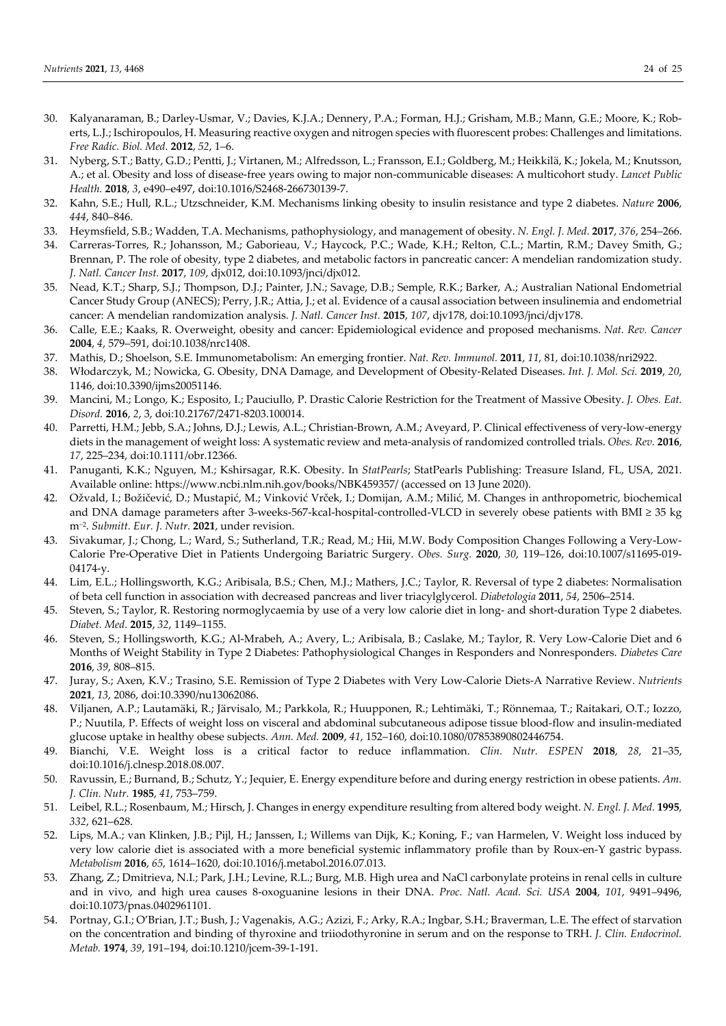- 30. Kalyanaraman, B.; Darley-Usmar, V.; Davies, K.J.A.; Dennery, P.A.; Forman, H.J.; Grisham, M.B.; Mann, G.E.; Moore, K.; Roberts, L.J.; Ischiropoulos, H. Measuring reactive oxygen and nitrogen species with fluorescent probes: Challenges and limitations. *Free Radic. Biol. Med.* **2012**, *52*, 1–6.
- 31. Nyberg, S.T.; Batty, G.D.; Pentti, J.; Virtanen, M.; Alfredsson, L.; Fransson, E.I.; Goldberg, M.; Heikkilä, K.; Jokela, M.; Knutsson, A.; et al. Obesity and loss of disease-free years owing to major non-communicable diseases: A multicohort study. *Lancet Public Health.* **2018**, *3*, e490–e497, doi:10.1016/S2468-266730139-7.
- 32. Kahn, S.E.; Hull, R.L.; Utzschneider, K.M. Mechanisms linking obesity to insulin resistance and type 2 diabetes. *Nature* **2006**, *444*, 840–846.
- 33. Heymsfield, S.B.; Wadden, T.A. Mechanisms, pathophysiology, and management of obesity. *N. Engl. J. Med.* **2017**, *376*, 254–266.
- 34. Carreras-Torres, R.; Johansson, M.; Gaborieau, V.; Haycock, P.C.; Wade, K.H.; Relton, C.L.; Martin, R.M.; Davey Smith, G.; Brennan, P. The role of obesity, type 2 diabetes, and metabolic factors in pancreatic cancer: A mendelian randomization study. *J. Natl. Cancer Inst.* **2017**, *109*, djx012, doi:10.1093/jnci/djx012.
- 35. Nead, K.T.; Sharp, S.J.; Thompson, D.J.; Painter, J.N.; Savage, D.B.; Semple, R.K.; Barker, A.; Australian National Endometrial Cancer Study Group (ANECS); Perry, J.R.; Attia, J.; et al. Evidence of a causal association between insulinemia and endometrial cancer: A mendelian randomization analysis. *J. Natl. Cancer Inst.* **2015**, *107*, djv178, doi:10.1093/jnci/djv178.
- 36. Calle, E.E.; Kaaks, R. Overweight, obesity and cancer: Epidemiological evidence and proposed mechanisms. *Nat. Rev. Cancer*  **2004**, *4*, 579–591, doi:10.1038/nrc1408.
- 37. Mathis, D.; Shoelson, S.E. Immunometabolism: An emerging frontier. *Nat. Rev. Immunol.* **2011**, *11*, 81, doi:10.1038/nri2922.
- 38. Włodarczyk, M.; Nowicka, G. Obesity, DNA Damage, and Development of Obesity-Related Diseases. *Int. J. Mol. Sci.* **2019**, *20*, 1146, doi:10.3390/ijms20051146.
- 39. Mancini, M.; Longo, K.; Esposito, I.; Pauciullo, P. Drastic Calorie Restriction for the Treatment of Massive Obesity. *J. Obes. Eat. Disord.* **2016**, *2*, 3, doi:10.21767/2471-8203.100014.
- 40. Parretti, H.M.; Jebb, S.A.; Johns, D.J.; Lewis, A.L.; Christian-Brown, A.M.; Aveyard, P. Clinical effectiveness of very-low-energy diets in the management of weight loss: A systematic review and meta-analysis of randomized controlled trials. *Obes. Rev.* **2016**, *17*, 225–234, doi:10.1111/obr.12366.
- 41. Panuganti, K.K.; Nguyen, M.; Kshirsagar, R.K. Obesity. In *StatPearls*; StatPearls Publishing: Treasure Island, FL, USA, 2021. Available online: https://www.ncbi.nlm.nih.gov/books/NBK459357/ (accessed on 13 June 2020).
- 42. Ožvald, I.; Božičević, D.; Mustapić, M.; Vinković Vrček, I.; Domijan, A.M.; Milić, M. Changes in anthropometric, biochemical and DNA damage parameters after 3-weeks-567-kcal-hospital-controlled-VLCD in severely obese patients with BMI ≥ 35 kg m−2. *Submitt. Eur. J. Nutr.* **2021**, under revision.
- 43. Sivakumar, J.; Chong, L.; Ward, S.; Sutherland, T.R.; Read, M.; Hii, M.W. Body Composition Changes Following a Very-Low-Calorie Pre-Operative Diet in Patients Undergoing Bariatric Surgery. *Obes. Surg.* **2020**, *30*, 119–126, doi:10.1007/s11695-019- 04174-y.
- 44. Lim, E.L.; Hollingsworth, K.G.; Aribisala, B.S.; Chen, M.J.; Mathers, J.C.; Taylor, R. Reversal of type 2 diabetes: Normalisation of beta cell function in association with decreased pancreas and liver triacylglycerol. *Diabetologia* **2011**, *54*, 2506–2514.
- 45. Steven, S.; Taylor, R. Restoring normoglycaemia by use of a very low calorie diet in long- and short-duration Type 2 diabetes. *Diabet. Med.* **2015**, *32*, 1149–1155.
- 46. Steven, S.; Hollingsworth, K.G.; Al-Mrabeh, A.; Avery, L.; Aribisala, B.; Caslake, M.; Taylor, R. Very Low-Calorie Diet and 6 Months of Weight Stability in Type 2 Diabetes: Pathophysiological Changes in Responders and Nonresponders. *Diabetes Care*  **2016**, *39*, 808–815.
- 47. Juray, S.; Axen, K.V.; Trasino, S.E. Remission of Type 2 Diabetes with Very Low-Calorie Diets-A Narrative Review. *Nutrients*  **2021**, *13*, 2086, doi:10.3390/nu13062086.
- 48. Viljanen, A.P.; Lautamäki, R.; Järvisalo, M.; Parkkola, R.; Huupponen, R.; Lehtimäki, T.; Rönnemaa, T.; Raitakari, O.T.; Iozzo, P.; Nuutila, P. Effects of weight loss on visceral and abdominal subcutaneous adipose tissue blood-flow and insulin-mediated glucose uptake in healthy obese subjects. *Ann. Med.* **2009**, *41*, 152–160, doi:10.1080/07853890802446754.
- 49. Bianchi, V.E. Weight loss is a critical factor to reduce inflammation. *Clin. Nutr. ESPEN* **2018**, *28*, 21–35, doi:10.1016/j.clnesp.2018.08.007.
- 50. Ravussin, E.; Burnand, B.; Schutz, Y.; Jequier, E. Energy expenditure before and during energy restriction in obese patients. *Am. J. Clin. Nutr.* **1985**, *41*, 753–759.
- 51. Leibel, R.L.; Rosenbaum, M.; Hirsch, J. Changes in energy expenditure resulting from altered body weight. *N. Engl. J. Med.* **1995**, *332*, 621–628.
- 52. Lips, M.A.; van Klinken, J.B.; Pijl, H.; Janssen, I.; Willems van Dijk, K.; Koning, F.; van Harmelen, V. Weight loss induced by very low calorie diet is associated with a more beneficial systemic inflammatory profile than by Roux-en-Y gastric bypass. *Metabolism* **2016**, *65*, 1614–1620, doi:10.1016/j.metabol.2016.07.013.
- 53. Zhang, Z.; Dmitrieva, N.I.; Park, J.H.; Levine, R.L.; Burg, M.B. High urea and NaCl carbonylate proteins in renal cells in culture and in vivo, and high urea causes 8-oxoguanine lesions in their DNA. *Proc. Natl. Acad. Sci. USA* **2004**, *101*, 9491–9496, doi:10.1073/pnas.0402961101.
- 54. Portnay, G.I.; O'Brian, J.T.; Bush, J.; Vagenakis, A.G.; Azizi, F.; Arky, R.A.; Ingbar, S.H.; Braverman, L.E. The effect of starvation on the concentration and binding of thyroxine and triiodothyronine in serum and on the response to TRH. *J. Clin. Endocrinol. Metab.* **1974**, *39*, 191–194, doi:10.1210/jcem-39-1-191.